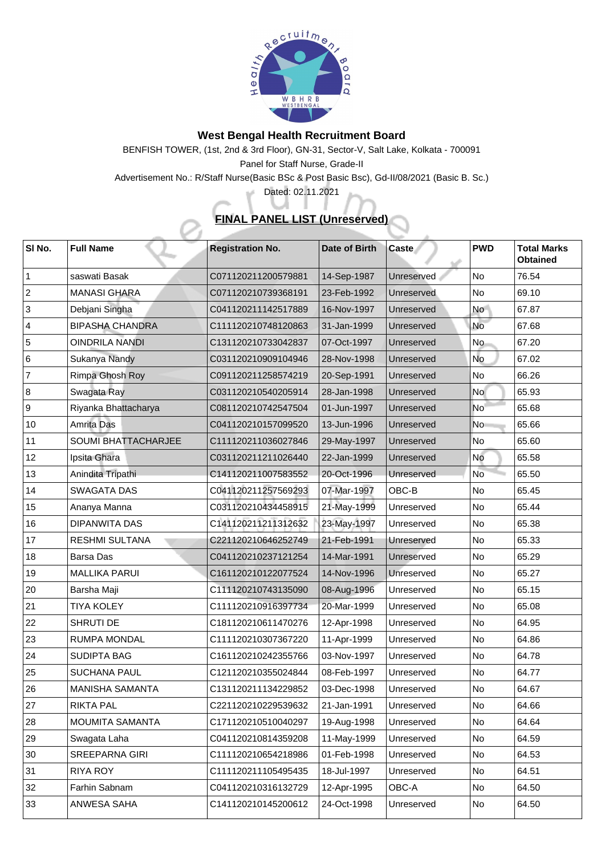

## **West Bengal Health Recruitment Board**

BENFISH TOWER, (1st, 2nd & 3rd Floor), GN-31, Sector-V, Salt Lake, Kolkata - 700091 Panel for Staff Nurse, Grade-II

Advertisement No.: R/Staff Nurse(Basic BSc & Post Basic Bsc), Gd-II/08/2021 (Basic B. Sc.)

Dated: 02.11.2021

хé

## **FINAL PANEL LIST (Unreserved)**

| SI No.         | <b>Full Name</b>           | <b>Registration No.</b> | <b>Date of Birth</b> | <b>Caste</b> | <b>PWD</b>     | <b>Total Marks</b><br><b>Obtained</b> |
|----------------|----------------------------|-------------------------|----------------------|--------------|----------------|---------------------------------------|
|                | saswati Basak              | C071120211200579881     | 14-Sep-1987          | Unreserved   | No             | 76.54                                 |
| $\overline{2}$ | <b>MANASI GHARA</b>        | C071120210739368191     | 23-Feb-1992          | Unreserved   | <b>No</b>      | 69.10                                 |
| 3              | Debjani Singha             | C041120211142517889     | 16-Nov-1997          | Unreserved   | No             | 67.87                                 |
| $\overline{4}$ | <b>BIPASHA CHANDRA</b>     | C111120210748120863     | 31-Jan-1999          | Unreserved   | <b>No</b>      | 67.68                                 |
| 5              | <b>OINDRILA NANDI</b>      | C131120210733042837     | 07-Oct-1997          | Unreserved   | No             | 67.20                                 |
| 6              | <b>Sukanya Nandy</b>       | C031120210909104946     | 28-Nov-1998          | Unreserved   | <b>No</b>      | 67.02                                 |
| $\overline{7}$ | <b>Rimpa Ghosh Roy</b>     | C091120211258574219     | 20-Sep-1991          | Unreserved   | <b>No</b>      | 66.26                                 |
| 8              | Swagata Ray                | C031120210540205914     | 28-Jan-1998          | Unreserved   | <b>No</b>      | 65.93                                 |
| 9              | Riyanka Bhattacharya       | C081120210742547504     | 01-Jun-1997          | Unreserved   | <b>No</b>      | 65.68                                 |
| 10             | <b>Amrita Das</b>          | C041120210157099520     | 13-Jun-1996          | Unreserved   | N <sub>o</sub> | 65.66                                 |
| 11             | <b>SOUMI BHATTACHARJEE</b> | C111120211036027846     | 29-May-1997          | Unreserved   | No             | 65.60                                 |
| 12             | Ipsita Ghara               | C031120211211026440     | 22-Jan-1999          | Unreserved   | No             | 65.58                                 |
| 13             | Anindita Tripathi          | C141120211007583552     | 20-Oct-1996          | Unreserved   | <b>No</b>      | 65.50                                 |
| 14             | <b>SWAGATA DAS</b>         | C041120211257569293     | 07-Mar-1997          | OBC-B        | <b>No</b>      | 65.45                                 |
| 15             | Ananya Manna               | C031120210434458915     | 21-May-1999          | Unreserved   | No             | 65.44                                 |
| 16             | <b>DIPANWITA DAS</b>       | C141120211211312632     | 23-May-1997          | Unreserved   | <b>No</b>      | 65.38                                 |
| 17             | <b>RESHMI SULTANA</b>      | C221120210646252749     | 21-Feb-1991          | Unreserved   | No             | 65.33                                 |
| 18             | <b>Barsa Das</b>           | C041120210237121254     | 14-Mar-1991          | Unreserved   | <b>No</b>      | 65.29                                 |
| 19             | <b>MALLIKA PARUI</b>       | C161120210122077524     | 14-Nov-1996          | Unreserved   | No             | 65.27                                 |
| 20             | Barsha Maji                | C111120210743135090     | 08-Aug-1996          | Unreserved   | No             | 65.15                                 |
| 21             | <b>TIYA KOLEY</b>          | C111120210916397734     | 20-Mar-1999          | Unreserved   | <b>No</b>      | 65.08                                 |
| 22             | <b>SHRUTI DE</b>           | C181120210611470276     | 12-Apr-1998          | Unreserved   | <b>No</b>      | 64.95                                 |
| 23             | <b>RUMPA MONDAL</b>        | C111120210307367220     | 11-Apr-1999          | Unreserved   | <b>No</b>      | 64.86                                 |
| 24             | <b>SUDIPTA BAG</b>         | C161120210242355766     | 03-Nov-1997          | Unreserved   | No             | 64.78                                 |
| 25             | <b>SUCHANA PAUL</b>        | C121120210355024844     | 08-Feb-1997          | Unreserved   | No             | 64.77                                 |
| 26             | <b>MANISHA SAMANTA</b>     | C131120211134229852     | 03-Dec-1998          | Unreserved   | No             | 64.67                                 |
| 27             | <b>RIKTA PAL</b>           | C221120210229539632     | 21-Jan-1991          | Unreserved   | No             | 64.66                                 |
| 28             | <b>MOUMITA SAMANTA</b>     | C171120210510040297     | 19-Aug-1998          | Unreserved   | No             | 64.64                                 |
| 29             | Swagata Laha               | C041120210814359208     | 11-May-1999          | Unreserved   | No             | 64.59                                 |
| 30             | <b>SREEPARNA GIRI</b>      | C111120210654218986     | 01-Feb-1998          | Unreserved   | <b>No</b>      | 64.53                                 |
| 31             | <b>RIYA ROY</b>            | C111120211105495435     | 18-Jul-1997          | Unreserved   | No             | 64.51                                 |
| 32             | <b>Farhin Sabnam</b>       | C041120210316132729     | 12-Apr-1995          | <b>OBC-A</b> | No             | 64.50                                 |
| 33             | ANWESA SAHA                | C141120210145200612     | 24-Oct-1998          | Unreserved   | No             | 64.50                                 |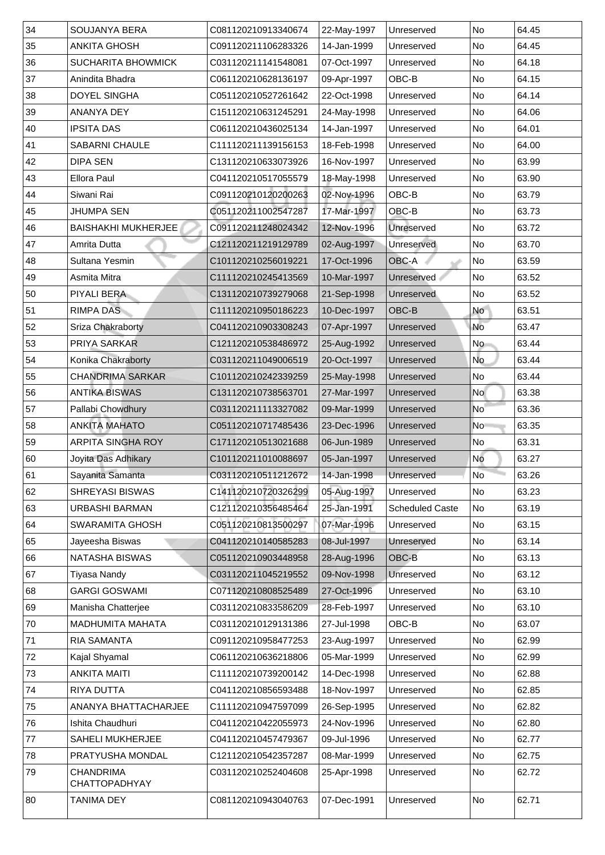| 34           | <b>SOUJANYA BERA</b>              | C081120210913340674 | 22-May-1997 | Unreserved             | No                       | 64.45 |
|--------------|-----------------------------------|---------------------|-------------|------------------------|--------------------------|-------|
| 35           | <b>ANKITA GHOSH</b>               | C091120211106283326 | 14-Jan-1999 | Unreserved             | No                       | 64.45 |
| 36           | <b>SUCHARITA BHOWMICK</b>         | C031120211141548081 | 07-Oct-1997 | Unreserved             | N <sub>o</sub>           | 64.18 |
| 37           | Anindita Bhadra                   | C061120210628136197 | 09-Apr-1997 | OBC-B                  | No                       | 64.15 |
| 38           | <b>DOYEL SINGHA</b>               | C051120210527261642 | 22-Oct-1998 | Unreserved             | N <sub>o</sub>           | 64.14 |
| 39           | <b>ANANYA DEY</b>                 | C151120210631245291 | 24-May-1998 | Unreserved             | No                       | 64.06 |
| 40           | <b>IPSITA DAS</b>                 | C061120210436025134 | 14-Jan-1997 | Unreserved             | No                       | 64.01 |
| $ 41\rangle$ | <b>SABARNI CHAULE</b>             | C111120211139156153 | 18-Feb-1998 | Unreserved             | N <sub>o</sub>           | 64.00 |
| 42           | <b>DIPA SEN</b>                   | C131120210633073926 | 16-Nov-1997 | Unreserved             | No                       | 63.99 |
| $ 43\rangle$ | <b>Ellora Paul</b>                | C041120210517055579 | 18-May-1998 | Unreserved             | No                       | 63.90 |
| 44           | Siwani Rai                        | C091120210120200263 | 02-Nov-1996 | OBC-B                  | No                       | 63.79 |
| 45           | <b>JHUMPA SEN</b>                 | C051120211002547287 | 17-Mar-1997 | OBC-B                  | No                       | 63.73 |
| 46           | <b>BAISHAKHI MUKHERJEE</b>        | C091120211248024342 | 12-Nov-1996 | <b>Unreserved</b>      | No                       | 63.72 |
| 147          | <b>Amrita Dutta</b>               | C121120211219129789 | 02-Aug-1997 | Unreserved             | No                       | 63.70 |
| 48           | <b>Sultana Yesmin</b>             | C101120210256019221 | 17-Oct-1996 | OBC-A                  | No                       | 63.59 |
| 49           | <b>Asmita Mitra</b>               | C111120210245413569 | 10-Mar-1997 | Unreserved             | No                       | 63.52 |
| 50           | <b>PIYALI BERA</b>                | C131120210739279068 | 21-Sep-1998 | Unreserved             | No                       | 63.52 |
| 51           | <b>RIMPA DAS</b>                  | C111120210950186223 | 10-Dec-1997 | OBC-B                  | <b>No</b>                | 63.51 |
| 52           | <b>Sriza Chakraborty</b>          | C041120210903308243 | 07-Apr-1997 | Unreserved             | <b>No</b>                | 63.47 |
| 53           | <b>PRIYA SARKAR</b>               | C121120210538486972 | 25-Aug-1992 | Unreserved             | No                       | 63.44 |
| 54           | Konika Chakraborty                | C031120211049006519 | 20-Oct-1997 | Unreserved             | No                       | 63.44 |
| 55           | <b>CHANDRIMA SARKAR</b>           | C101120210242339259 | 25-May-1998 | Unreserved             | No                       | 63.44 |
| 56           | <b>ANTIKA BISWAS</b>              | C131120210738563701 | 27-Mar-1997 | Unreserved             | <b>No</b>                | 63.38 |
| 57           | <b>Pallabi Chowdhury</b>          | C031120211113327082 | 09-Mar-1999 | Unreserved             | $\overline{\mathsf{No}}$ | 63.36 |
| 58           | <b>ANKITA MAHATO</b>              | C051120210717485436 | 23-Dec-1996 | Unreserved             | No                       | 63.35 |
| 59           | <b>ARPITA SINGHA ROY</b>          | C171120210513021688 | 06-Jun-1989 | Unreserved             | No                       | 63.31 |
| 60           | Joyita Das Adhikary               | C101120211010088697 | 05-Jan-1997 | Unreserved             | <b>No</b>                | 63.27 |
| 61           | Sayanita Samanta                  | C031120210511212672 | 14-Jan-1998 | Unreserved             | <b>No</b>                | 63.26 |
| 62           | <b>SHREYASI BISWAS</b>            | C141120210720326299 | 05-Aug-1997 | Unreserved             | No                       | 63.23 |
| 63           | <b>URBASHI BARMAN</b>             | C121120210356485464 | 25-Jan-1991 | <b>Scheduled Caste</b> | No                       | 63.19 |
| 64           | <b>SWARAMITA GHOSH</b>            | C051120210813500297 | 07-Mar-1996 | Unreserved             | No                       | 63.15 |
| 65           | Jayeesha Biswas                   | C041120210140585283 | 08-Jul-1997 | <b>Unreserved</b>      | No                       | 63.14 |
| 66           | <b>NATASHA BISWAS</b>             | C051120210903448958 | 28-Aug-1996 | <b>OBC-B</b>           | No                       | 63.13 |
| 67           | Tiyasa Nandy                      | C031120211045219552 | 09-Nov-1998 | <b>Unreserved</b>      | No                       | 63.12 |
| 68           | <b>GARGI GOSWAMI</b>              | C071120210808525489 | 27-Oct-1996 | Unreserved             | No                       | 63.10 |
| 69           | Manisha Chatterjee                | C031120210833586209 | 28-Feb-1997 | Unreserved             | No                       | 63.10 |
| 70           | <b>MADHUMITA MAHATA</b>           | C031120210129131386 | 27-Jul-1998 | OBC-B                  | No                       | 63.07 |
| 71           | <b>RIA SAMANTA</b>                | C091120210958477253 | 23-Aug-1997 | Unreserved             | No                       | 62.99 |
| 72           | <b>Kajal Shyamal</b>              | C061120210636218806 | 05-Mar-1999 | Unreserved             | No                       | 62.99 |
| 73           | <b>ANKITA MAITI</b>               | C111120210739200142 | 14-Dec-1998 | Unreserved             | No                       | 62.88 |
| 74           | <b>RIYA DUTTA</b>                 | C041120210856593488 | 18-Nov-1997 | Unreserved             | No                       | 62.85 |
| 75           | ANANYA BHATTACHARJEE              | C111120210947597099 | 26-Sep-1995 | Unreserved             | No                       | 62.82 |
| 76           | Ishita Chaudhuri                  | C041120210422055973 | 24-Nov-1996 | Unreserved             | No                       | 62.80 |
| 77           | <b>SAHELI MUKHERJEE</b>           | C041120210457479367 | 09-Jul-1996 | Unreserved             | No.                      | 62.77 |
| 78           | <b>PRATYUSHA MONDAL</b>           | C121120210542357287 | 08-Mar-1999 | Unreserved             | No                       | 62.75 |
| 79           | <b>CHANDRIMA</b><br>CHATTOPADHYAY | C031120210252404608 | 25-Apr-1998 | Unreserved             | No                       | 62.72 |
| 80           | TANIMA DEY                        | C081120210943040763 | 07-Dec-1991 | Unreserved             | No                       | 62.71 |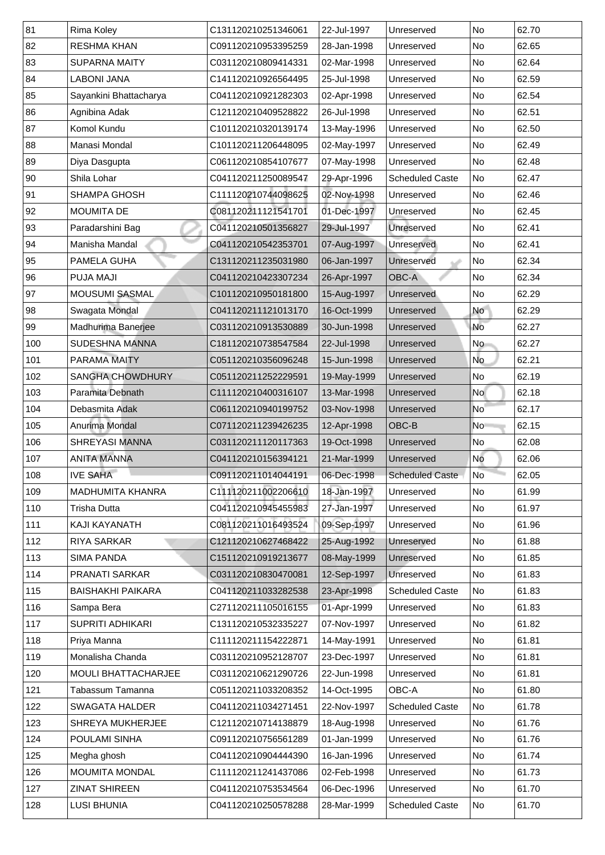| 81  | <b>Rima Koley</b>          | C131120210251346061 | 22-Jul-1997 | Unreserved                       | No                       | 62.70 |
|-----|----------------------------|---------------------|-------------|----------------------------------|--------------------------|-------|
| 82  | <b>RESHMA KHAN</b>         | C091120210953395259 | 28-Jan-1998 | Unreserved                       | No                       | 62.65 |
| 83  | <b>SUPARNA MAITY</b>       | C031120210809414331 | 02-Mar-1998 | Unreserved                       | No                       | 62.64 |
| 84  | <b>LABONI JANA</b>         | C141120210926564495 | 25-Jul-1998 | Unreserved                       | No                       | 62.59 |
| 85  | Sayankini Bhattacharya     | C041120210921282303 | 02-Apr-1998 | Unreserved                       | No                       | 62.54 |
| 86  | Agnibina Adak              | C121120210409528822 | 26-Jul-1998 | Unreserved                       | No                       | 62.51 |
| 87  | <b>Komol Kundu</b>         | C101120210320139174 | 13-May-1996 | Unreserved                       | No                       | 62.50 |
| 88  | Manasi Mondal              | C101120211206448095 | 02-May-1997 | Unreserved                       | No                       | 62.49 |
| 89  | Diya Dasgupta              | C061120210854107677 | 07-May-1998 | Unreserved                       | No                       | 62.48 |
| 90  | Shila Lohar                | C041120211250089547 | 29-Apr-1996 | <b>Scheduled Caste</b>           | No                       | 62.47 |
| 91  | <b>SHAMPA GHOSH</b>        | C111120210744098625 | 02-Nov-1998 | Unreserved                       | No                       | 62.46 |
| 92  | <b>MOUMITA DE</b>          | C081120211121541701 | 01-Dec-1997 | Unreserved                       | No                       | 62.45 |
| 93  | Paradarshini Bag           | C041120210501356827 | 29-Jul-1997 | Unreserved                       | No                       | 62.41 |
| 94  | <b>Manisha Mandal</b>      | C041120210542353701 | 07-Aug-1997 | Unreserved                       | No                       | 62.41 |
| 95  | <b>PAMELA GUHA</b>         | C131120211235031980 | 06-Jan-1997 | Unreserved                       | No                       | 62.34 |
| 96  | <b>PUJA MAJI</b>           | C041120210423307234 | 26-Apr-1997 | <b>OBC-A</b>                     | No                       | 62.34 |
| 97  | <b>MOUSUMI SASMAL</b>      | C101120210950181800 | 15-Aug-1997 | Unreserved                       | No                       | 62.29 |
| 98  | <b>Swagata Mondal</b>      | C041120211121013170 | 16-Oct-1999 | Unreserved                       | <b>No</b>                | 62.29 |
| 99  | Madhurima Banerjee         | C031120210913530889 | 30-Jun-1998 | Unreserved                       | <b>No</b>                | 62.27 |
| 100 | <b>SUDESHNA MANNA</b>      | C181120210738547584 | 22-Jul-1998 | Unreserved                       | No                       | 62.27 |
| 101 | <b>PARAMA MAITY</b>        | C051120210356096248 | 15-Jun-1998 | Unreserved                       | No                       | 62.21 |
| 102 | <b>SANGHA CHOWDHURY</b>    | C051120211252229591 | 19-May-1999 | Unreserved                       | No                       | 62.19 |
| 103 | Paramita Debnath           | C111120210400316107 | 13-Mar-1998 | Unreserved                       | <b>No</b>                | 62.18 |
| 104 | Debasmita Adak             | C061120210940199752 | 03-Nov-1998 | Unreserved                       | $\overline{\mathsf{No}}$ | 62.17 |
| 105 | Anurima Mondal             | C071120211239426235 | 12-Apr-1998 | $\mathsf{OBC}\text{-}\mathsf{B}$ | N <sub>o</sub>           | 62.15 |
| 106 | <b>SHREYASI MANNA</b>      | C031120211120117363 | 19-Oct-1998 | Unreserved                       | No                       | 62.08 |
| 107 | <b>ANITA MANNA</b>         | C041120210156394121 | 21-Mar-1999 | Unreserved                       | <b>No</b>                | 62.06 |
| 108 | <b>IVE SAHA</b>            | C091120211014044191 | 06-Dec-1998 | <b>Scheduled Caste</b>           | <b>No</b>                | 62.05 |
| 109 | <b>MADHUMITA KHANRA</b>    | C111120211002206610 | 18-Jan-1997 | Unreserved                       | No                       | 61.99 |
| 110 | <b>Trisha Dutta</b>        | C041120210945455983 | 27-Jan-1997 | Unreserved                       | No                       | 61.97 |
| 111 | <b>KAJI KAYANATH</b>       | C081120211016493524 | 09-Sep-1997 | Unreserved                       | No                       | 61.96 |
| 112 | <b>RIYA SARKAR</b>         | C121120210627468422 | 25-Aug-1992 | <b>Unreserved</b>                | No                       | 61.88 |
| 113 | <b>SIMA PANDA</b>          | C151120210919213677 | 08-May-1999 | Unreserved                       | No                       | 61.85 |
| 114 | <b>PRANATI SARKAR</b>      | C031120210830470081 | 12-Sep-1997 | <b>Unreserved</b>                | No                       | 61.83 |
| 115 | <b>BAISHAKHI PAIKARA</b>   | C041120211033282538 | 23-Apr-1998 | <b>Scheduled Caste</b>           | No                       | 61.83 |
| 116 | Sampa Bera                 | C271120211105016155 | 01-Apr-1999 | Unreserved                       | No                       | 61.83 |
| 117 | <b>SUPRITI ADHIKARI</b>    | C131120210532335227 | 07-Nov-1997 | Unreserved                       | No                       | 61.82 |
| 118 | Priya Manna                | C111120211154222871 | 14-May-1991 | Unreserved                       | No                       | 61.81 |
| 119 | Monalisha Chanda           | C031120210952128707 | 23-Dec-1997 | Unreserved                       | No                       | 61.81 |
| 120 | <b>MOULI BHATTACHARJEE</b> | C031120210621290726 | 22-Jun-1998 | Unreserved                       | No                       | 61.81 |
| 121 | Tabassum Tamanna           | C051120211033208352 | 14-Oct-1995 | OBC-A                            | No                       | 61.80 |
| 122 | <b>SWAGATA HALDER</b>      | C041120211034271451 | 22-Nov-1997 | <b>Scheduled Caste</b>           | No                       | 61.78 |
| 123 | <b>SHREYA MUKHERJEE</b>    | C121120210714138879 | 18-Aug-1998 | Unreserved                       | No                       | 61.76 |
| 124 | <b>POULAMI SINHA</b>       | C091120210756561289 | 01-Jan-1999 | Unreserved                       | No                       | 61.76 |
| 125 | Megha ghosh                | C041120210904444390 | 16-Jan-1996 | Unreserved                       | No                       | 61.74 |
| 126 | <b>MOUMITA MONDAL</b>      | C111120211241437086 | 02-Feb-1998 | Unreserved                       | No                       | 61.73 |
| 127 | <b>ZINAT SHIREEN</b>       | C041120210753534564 | 06-Dec-1996 | Unreserved                       | No                       | 61.70 |
| 128 | <b>LUSI BHUNIA</b>         | C041120210250578288 | 28-Mar-1999 | <b>Scheduled Caste</b>           | No                       | 61.70 |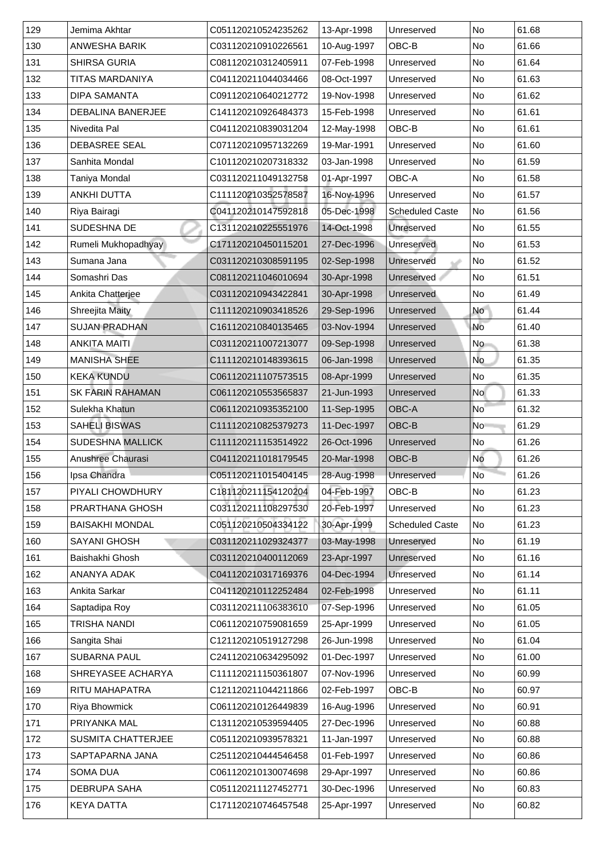| 129              | Jemima Akhtar             | C051120210524235262 | 13-Apr-1998 | Unreserved             | <b>No</b>      | 61.68 |
|------------------|---------------------------|---------------------|-------------|------------------------|----------------|-------|
| 130              | <b>ANWESHA BARIK</b>      | C031120210910226561 | 10-Aug-1997 | OBC-B                  | <b>No</b>      | 61.66 |
| 131              | <b>SHIRSA GURIA</b>       | C081120210312405911 | 07-Feb-1998 | Unreserved             | No             | 61.64 |
| 132              | TITAS MARDANIYA           | C041120211044034466 | 08-Oct-1997 | Unreserved             | <b>No</b>      | 61.63 |
| 133              | <b>DIPA SAMANTA</b>       | C091120210640212772 | 19-Nov-1998 | Unreserved             | No             | 61.62 |
| 134              | <b>DEBALINA BANERJEE</b>  | C141120210926484373 | 15-Feb-1998 | Unreserved             | No             | 61.61 |
| 135              | Nivedita Pal              | C041120210839031204 | 12-May-1998 | OBC-B                  | <b>No</b>      | 61.61 |
| 136              | <b>DEBASREE SEAL</b>      | C071120210957132269 | 19-Mar-1991 | Unreserved             | No             | 61.60 |
| 137              | Sanhita Mondal            | C101120210207318332 | 03-Jan-1998 | Unreserved             | No             | 61.59 |
| 138              | Taniya Mondal             | C031120211049132758 | 01-Apr-1997 | <b>OBC-A</b>           | <b>No</b>      | 61.58 |
| 139              | <b>ANKHI DUTTA</b>        | C111120210352578587 | 16-Nov-1996 | Unreserved             | <b>No</b>      | 61.57 |
| 140              | Riya Bairagi              | C041120210147592818 | 05-Dec-1998 | <b>Scheduled Caste</b> | No             | 61.56 |
| 141              | <b>SUDESHNA DE</b>        | C131120210225551976 | 14-Oct-1998 | Unreserved             | <b>No</b>      | 61.55 |
| 142              | Rumeli Mukhopadhyay       | C171120210450115201 | 27-Dec-1996 | Unreserved             | No             | 61.53 |
| 143              | Sumana Jana               | C031120210308591195 | 02-Sep-1998 | Unreserved             | No             | 61.52 |
| 144              | Somashri Das              | C081120211046010694 | 30-Apr-1998 | Unreserved             | <b>No</b>      | 61.51 |
| 145              | <b>Ankita Chatterjee</b>  | C031120210943422841 | 30-Apr-1998 | Unreserved             | No             | 61.49 |
| 146              | <b>Shreejita Maity</b>    | C111120210903418526 | 29-Sep-1996 | Unreserved             | <b>No</b>      | 61.44 |
| 147              | <b>SUJAN PRADHAN</b>      | C161120210840135465 | 03-Nov-1994 | Unreserved             | No             | 61.40 |
| 148              | <b>ANKITA MAITI</b>       | C031120211007213077 | 09-Sep-1998 | Unreserved             | No             | 61.38 |
| 149              | <b>MANISHA SHEE</b>       | C111120210148393615 | 06-Jan-1998 | Unreserved             | <b>No</b>      | 61.35 |
| 150              | <b>KEKA KUNDU</b>         | C061120211107573515 | 08-Apr-1999 | Unreserved             | No             | 61.35 |
| 151              | <b>SK FARIN RAHAMAN</b>   | C061120210553565837 | 21-Jun-1993 | Unreserved             | <b>No</b>      | 61.33 |
| 152 <sub>2</sub> | Sulekha Khatun            | C061120210935352100 | 11-Sep-1995 | <b>OBC-A</b>           | N <sub>o</sub> | 61.32 |
| 153              | <b>SAHELI BISWAS</b>      | C111120210825379273 | 11-Dec-1997 | OBC-B                  | <b>No</b>      | 61.29 |
| 154              | <b>SUDESHNA MALLICK</b>   | C111120211153514922 | 26-Oct-1996 | Unreserved             | No             | 61.26 |
| 155              | <b>Anushree Chaurasi</b>  | C041120211018179545 | 20-Mar-1998 | OBC-B                  | No             | 61.26 |
| 156              | Ipsa Chandra              | C051120211015404145 | 28-Aug-1998 | Unreserved             | <b>No</b>      | 61.26 |
| 157              | PIYALI CHOWDHURY          | C181120211154120204 | 04-Feb-1997 | OBC-B                  | No             | 61.23 |
| 158              | <b>PRARTHANA GHOSH</b>    | C031120211108297530 | 20-Feb-1997 | Unreserved             | No             | 61.23 |
| 159              | <b>BAISAKHI MONDAL</b>    | C051120210504334122 | 30-Apr-1999 | <b>Scheduled Caste</b> | No             | 61.23 |
| 160              | <b>SAYANI GHOSH</b>       | C031120211029324377 | 03-May-1998 | Unreserved             | No             | 61.19 |
| 161              | Baishakhi Ghosh           | C031120210400112069 | 23-Apr-1997 | Unreserved             | <b>No</b>      | 61.16 |
| 162              | <b>ANANYA ADAK</b>        | C041120210317169376 | 04-Dec-1994 | Unreserved             | No             | 61.14 |
| 163              | <b>Ankita Sarkar</b>      | C041120210112252484 | 02-Feb-1998 | Unreserved             | No             | 61.11 |
| 164              | Saptadipa Roy             | C031120211106383610 | 07-Sep-1996 | Unreserved             | <b>No</b>      | 61.05 |
| 165              | TRISHA NANDI              | C061120210759081659 | 25-Apr-1999 | Unreserved             | No             | 61.05 |
| 166              | Sangita Shai              | C121120210519127298 | 26-Jun-1998 | Unreserved             | No             | 61.04 |
| 167              | <b>SUBARNA PAUL</b>       | C241120210634295092 | 01-Dec-1997 | Unreserved             | No             | 61.00 |
| 168              | <b>SHREYASEE ACHARYA</b>  | C111120211150361807 | 07-Nov-1996 | Unreserved             | No             | 60.99 |
| 169              | <b>RITU MAHAPATRA</b>     | C121120211044211866 | 02-Feb-1997 | OBC-B                  | No             | 60.97 |
| 170              | <b>Riya Bhowmick</b>      | C061120210126449839 | 16-Aug-1996 | Unreserved             | <b>No</b>      | 60.91 |
| 171              | PRIYANKA MAL              | C131120210539594405 | 27-Dec-1996 | Unreserved             | No             | 60.88 |
| 172              | <b>SUSMITA CHATTERJEE</b> | C051120210939578321 | 11-Jan-1997 | Unreserved             | No             | 60.88 |
| 173              | SAPTAPARNA JANA           | C251120210444546458 | 01-Feb-1997 | Unreserved             | No             | 60.86 |
| 174              | <b>SOMA DUA</b>           | C061120210130074698 | 29-Apr-1997 | Unreserved             | No             | 60.86 |
| 175              | <b>DEBRUPA SAHA</b>       | C051120211127452771 | 30-Dec-1996 | Unreserved             | No             | 60.83 |
| 176              | <b>KEYA DATTA</b>         | C171120210746457548 | 25-Apr-1997 | Unreserved             | No             | 60.82 |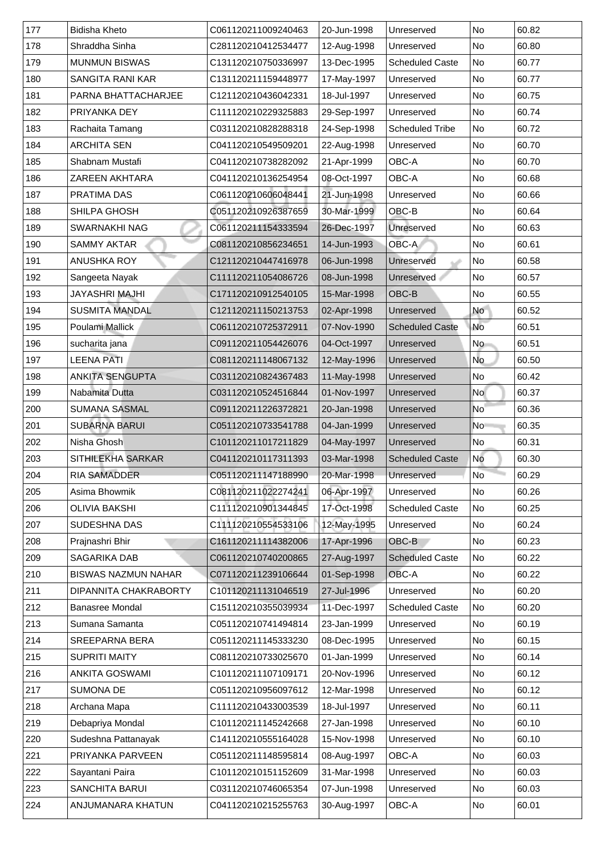| 177           | <b>Bidisha Kheto</b>       | C061120211009240463 | 20-Jun-1998 | Unreserved             | <b>No</b> | 60.82 |
|---------------|----------------------------|---------------------|-------------|------------------------|-----------|-------|
| 178           | Shraddha Sinha             | C281120210412534477 | 12-Aug-1998 | Unreserved             | No        | 60.80 |
| 179           | <b>MUNMUN BISWAS</b>       | C131120210750336997 | 13-Dec-1995 | <b>Scheduled Caste</b> | No        | 60.77 |
| 180           | <b>SANGITA RANI KAR</b>    | C131120211159448977 | 17-May-1997 | Unreserved             | No        | 60.77 |
| 181           | PARNA BHATTACHARJEE        | C121120210436042331 | 18-Jul-1997 | Unreserved             | No        | 60.75 |
| 182           | <b>PRIYANKA DEY</b>        | C111120210229325883 | 29-Sep-1997 | Unreserved             | No        | 60.74 |
| 183           | <b>Rachaita Tamang</b>     | C031120210828288318 | 24-Sep-1998 | <b>Scheduled Tribe</b> | <b>No</b> | 60.72 |
| 184           | <b>ARCHITA SEN</b>         | C041120210549509201 | 22-Aug-1998 | Unreserved             | No        | 60.70 |
| 185           | <b>Shabnam Mustafi</b>     | C041120210738282092 | 21-Apr-1999 | <b>OBC-A</b>           | <b>No</b> | 60.70 |
| 186           | <b>ZAREEN AKHTARA</b>      | C041120210136254954 | 08-Oct-1997 | <b>OBC-A</b>           | <b>No</b> | 60.68 |
| 187           | <b>PRATIMA DAS</b>         | C061120210606048441 | 21-Jun-1998 | Unreserved             | <b>No</b> | 60.66 |
| 188           | <b>SHILPA GHOSH</b>        | C051120210926387659 | 30-Mar-1999 | OBC-B                  | No        | 60.64 |
| 189           | <b>SWARNAKHI NAG</b>       | C061120211154333594 | 26-Dec-1997 | Unreserved             | <b>No</b> | 60.63 |
| 190           | <b>SAMMY AKTAR</b>         | C081120210856234651 | 14-Jun-1993 | OBC-A                  | No        | 60.61 |
| 191           | <b>ANUSHKA ROY</b>         | C121120210447416978 | 06-Jun-1998 | Unreserved             | No        | 60.58 |
| 192           | Sangeeta Nayak             | C111120211054086726 | 08-Jun-1998 | <b>Unreserved</b>      | No        | 60.57 |
| 193           | <b>JAYASHRI MAJHI</b>      | C171120210912540105 | 15-Mar-1998 | OBC-B                  | <b>No</b> | 60.55 |
| 194           | <b>SUSMITA MANDAL</b>      | C121120211150213753 | 02-Apr-1998 | Unreserved             | <b>No</b> | 60.52 |
| 195           | <b>Poulami Mallick</b>     | C061120210725372911 | 07-Nov-1990 | <b>Scheduled Caste</b> | <b>No</b> | 60.51 |
| 196           | sucharita jana             | C091120211054426076 | 04-Oct-1997 | Unreserved             | <b>No</b> | 60.51 |
| 197           | <b>LEENA PATI</b>          | C081120211148067132 | 12-May-1996 | Unreserved             | <b>No</b> | 60.50 |
| 198           | <b>ANKITA SENGUPTA</b>     | C031120210824367483 | 11-May-1998 | Unreserved             | No        | 60.42 |
| 199           | Nabamita Dutta             | C031120210524516844 | 01-Nov-1997 | Unreserved             | No        | 60.37 |
| 200           | <b>SUMANA SASMAL</b>       | C091120211226372821 | 20-Jan-1998 | Unreserved             | <b>No</b> | 60.36 |
| 201           | <b>SUBARNA BARUI</b>       | C051120210733541788 | 04-Jan-1999 | Unreserved             | No        | 60.35 |
| 202           | Nisha Ghosh                | C101120211017211829 | 04-May-1997 | Unreserved             | No        | 60.31 |
| 203           | <b>SITHILEKHA SARKAR</b>   | C041120210117311393 | 03-Mar-1998 | <b>Scheduled Caste</b> | No        | 60.30 |
| 204           | <b>RIA SAMADDER</b>        | C051120211147188990 | 20-Mar-1998 | Unreserved             | <b>No</b> | 60.29 |
| 205           | Asima Bhowmik              | C081120211022274241 | 06-Apr-1997 | Unreserved             | No        | 60.26 |
| 206           | <b>OLIVIA BAKSHI</b>       | C111120210901344845 | 17-Oct-1998 | <b>Scheduled Caste</b> | <b>No</b> | 60.25 |
| 207           | <b>SUDESHNA DAS</b>        | C111120210554533106 | 12-May-1995 | Unreserved             | <b>No</b> | 60.24 |
| 208           | Prajnashri Bhir            | C161120211114382006 | 17-Apr-1996 | OBC-B                  | No        | 60.23 |
| 209           | <b>SAGARIKA DAB</b>        | C061120210740200865 | 27-Aug-1997 | <b>Scheduled Caste</b> | No        | 60.22 |
| 210           | <b>BISWAS NAZMUN NAHAR</b> | C071120211239106644 | 01-Sep-1998 | OBC-A                  | No        | 60.22 |
| 211           | DIPANNITA CHAKRABORTY      | C101120211131046519 | 27-Jul-1996 | Unreserved             | No        | 60.20 |
| 212           | <b>Banasree Mondal</b>     | C151120210355039934 | 11-Dec-1997 | <b>Scheduled Caste</b> | No        | 60.20 |
| 213           | Sumana Samanta             | C051120210741494814 | 23-Jan-1999 | Unreserved             | No        | 60.19 |
| 214           | <b>SREEPARNA BERA</b>      | C051120211145333230 | 08-Dec-1995 | Unreserved             | No        | 60.15 |
| 215           | <b>SUPRITI MAITY</b>       | C081120210733025670 | 01-Jan-1999 | Unreserved             | No        | 60.14 |
| 216           | <b>ANKITA GOSWAMI</b>      | C101120211107109171 | 20-Nov-1996 | Unreserved             | No        | 60.12 |
| $ 217\rangle$ | <b>SUMONA DE</b>           | C051120210956097612 | 12-Mar-1998 | Unreserved             | No        | 60.12 |
| 218           | Archana Mapa               | C111120210433003539 | 18-Jul-1997 | Unreserved             | <b>No</b> | 60.11 |
| 219           | Debapriya Mondal           | C101120211145242668 | 27-Jan-1998 | Unreserved             | No        | 60.10 |
| 220           | Sudeshna Pattanayak        | C141120210555164028 | 15-Nov-1998 | Unreserved             | No        | 60.10 |
| 221           | PRIYANKA PARVEEN           | C051120211148595814 | 08-Aug-1997 | OBC-A                  | No        | 60.03 |
| 222           | Sayantani Paira            | C101120210151152609 | 31-Mar-1998 | Unreserved             | No        | 60.03 |
| 223           | <b>SANCHITA BARUI</b>      | C031120210746065354 | 07-Jun-1998 | Unreserved             | No        | 60.03 |
| 224           | ANJUMANARA KHATUN          | C041120210215255763 | 30-Aug-1997 | <b>OBC-A</b>           | No        | 60.01 |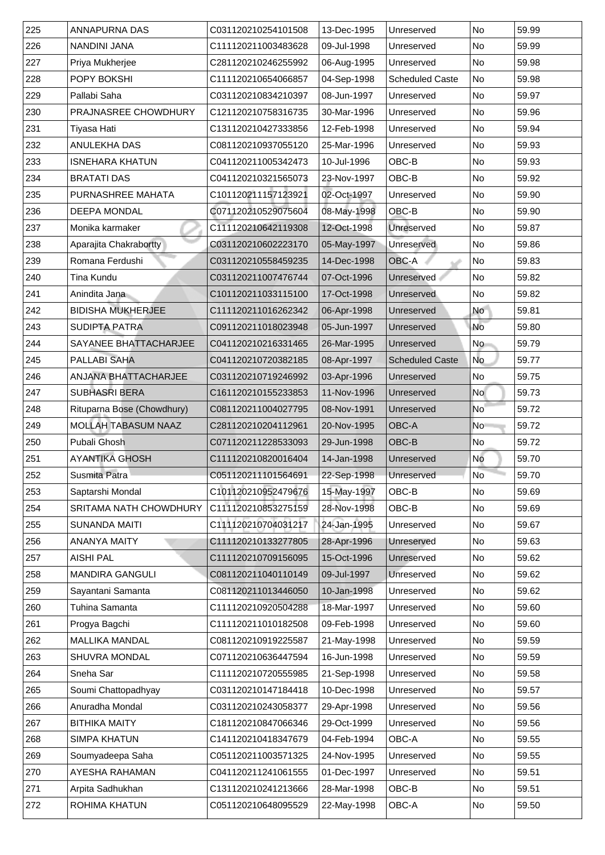| 225 | <b>ANNAPURNA DAS</b>              | C031120210254101508 | 13-Dec-1995 | Unreserved             | <b>No</b>      | 59.99 |
|-----|-----------------------------------|---------------------|-------------|------------------------|----------------|-------|
| 226 | NANDINI JANA                      | C111120211003483628 | 09-Jul-1998 | Unreserved             | No             | 59.99 |
| 227 | Priya Mukherjee                   | C281120210246255992 | 06-Aug-1995 | Unreserved             | No             | 59.98 |
| 228 | <b>POPY BOKSHI</b>                | C111120210654066857 | 04-Sep-1998 | <b>Scheduled Caste</b> | No             | 59.98 |
| 229 | Pallabi Saha                      | C031120210834210397 | 08-Jun-1997 | Unreserved             | No             | 59.97 |
| 230 | <b>PRAJNASREE CHOWDHURY</b>       | C121120210758316735 | 30-Mar-1996 | Unreserved             | No             | 59.96 |
| 231 | <b>Tiyasa Hati</b>                | C131120210427333856 | 12-Feb-1998 | Unreserved             | No             | 59.94 |
| 232 | <b>ANULEKHA DAS</b>               | C081120210937055120 | 25-Mar-1996 | Unreserved             | No             | 59.93 |
| 233 | <b>ISNEHARA KHATUN</b>            | C041120211005342473 | 10-Jul-1996 | OBC-B                  | No             | 59.93 |
| 234 | <b>BRATATI DAS</b>                | C041120210321565073 | 23-Nov-1997 | OBC-B                  | No             | 59.92 |
| 235 | <b>PURNASHREE MAHATA</b>          | C101120211157123921 | 02-Oct-1997 | Unreserved             | No             | 59.90 |
| 236 | <b>DEEPA MONDAL</b>               | C071120210529075604 | 08-May-1998 | OBC-B                  | No             | 59.90 |
| 237 | Monika karmaker                   | C111120210642119308 | 12-Oct-1998 | Unreserved             | No             | 59.87 |
| 238 | Aparajita Chakrabortty            | C031120210602223170 | 05-May-1997 | Unreserved             | No             | 59.86 |
| 239 | Romana Ferdushi                   | C031120210558459235 | 14-Dec-1998 | <b>OBC-A</b>           | N <sub>o</sub> | 59.83 |
| 240 | Tina Kundu                        | C031120211007476744 | 07-Oct-1996 | <b>Unreserved</b>      | No             | 59.82 |
| 241 | Anindita Jana                     | C101120211033115100 | 17-Oct-1998 | Unreserved             | No             | 59.82 |
| 242 | <b>BIDISHA MUKHERJEE</b>          | C111120211016262342 | 06-Apr-1998 | Unreserved             | <b>No</b>      | 59.81 |
| 243 | <b>SUDIPTA PATRA</b>              | C091120211018023948 | 05-Jun-1997 | Unreserved             | <b>No</b>      | 59.80 |
| 244 | SAYANEE BHATTACHARJEE             | C041120210216331465 | 26-Mar-1995 | Unreserved             | No             | 59.79 |
| 245 | <b>PALLABI SAHA</b>               | C041120210720382185 | 08-Apr-1997 | <b>Scheduled Caste</b> | <b>No</b>      | 59.77 |
| 246 | <b>ANJANA BHATTACHARJEE</b>       | C031120210719246992 | 03-Apr-1996 | Unreserved             | No             | 59.75 |
| 247 | <b>SUBHASRI BERA</b>              | C161120210155233853 | 11-Nov-1996 | Unreserved             | <b>No</b>      | 59.73 |
| 248 | <b>Rituparna Bose (Chowdhury)</b> | C081120211004027795 | 08-Nov-1991 | Unreserved             | <b>No</b>      | 59.72 |
| 249 | <b>MOLLAH TABASUM NAAZ</b>        | C281120210204112961 | 20-Nov-1995 | <b>OBC-A</b>           | <b>No</b>      | 59.72 |
| 250 | <b>Pubali Ghosh</b>               | C071120211228533093 | 29-Jun-1998 | OBC-B                  | No             | 59.72 |
| 251 | <b>AYANTIKA GHOSH</b>             | C111120210820016404 | 14-Jan-1998 | Unreserved             | No             | 59.70 |
| 252 | <b>Susmita Patra</b>              | C051120211101564691 | 22-Sep-1998 | Unreserved             | N <sub>o</sub> | 59.70 |
| 253 | Saptarshi Mondal                  | C101120210952479676 | 15-May-1997 | OBC-B                  | No             | 59.69 |
| 254 | <b>SRITAMA NATH CHOWDHURY</b>     | C111120210853275159 | 28-Nov-1998 | OBC-B                  | <b>No</b>      | 59.69 |
| 255 | <b>SUNANDA MAITI</b>              | C111120210704031217 | 24-Jan-1995 | Unreserved             | No             | 59.67 |
| 256 | <b>ANANYA MAITY</b>               | C111120210133277805 | 28-Apr-1996 | Unreserved             | No             | 59.63 |
| 257 | <b>AISHI PAL</b>                  | C111120210709156095 | 15-Oct-1996 | Unreserved             | No             | 59.62 |
| 258 | <b>MANDIRA GANGULI</b>            | C081120211040110149 | 09-Jul-1997 | Unreserved             | No             | 59.62 |
| 259 | Sayantani Samanta                 | C081120211013446050 | 10-Jan-1998 | Unreserved             | No             | 59.62 |
| 260 | <b>Tuhina Samanta</b>             | C111120210920504288 | 18-Mar-1997 | Unreserved             | No             | 59.60 |
| 261 | Progya Bagchi                     | C111120211010182508 | 09-Feb-1998 | Unreserved             | No             | 59.60 |
| 262 |                                   |                     |             |                        |                |       |
|     | <b>MALLIKA MANDAL</b>             | C081120210919225587 | 21-May-1998 | Unreserved             | <b>No</b>      | 59.59 |
| 263 | <b>SHUVRA MONDAL</b>              | C071120210636447594 | 16-Jun-1998 | Unreserved             | No             | 59.59 |
| 264 | Sneha Sar                         | C111120210720555985 | 21-Sep-1998 | Unreserved             | No             | 59.58 |
| 265 | Soumi Chattopadhyay               | C031120210147184418 | 10-Dec-1998 | Unreserved             | N <sub>o</sub> | 59.57 |
| 266 | Anuradha Mondal                   | C031120210243058377 | 29-Apr-1998 | Unreserved             | <b>No</b>      | 59.56 |
| 267 | <b>BITHIKA MAITY</b>              | C181120210847066346 | 29-Oct-1999 | Unreserved             | No             | 59.56 |
| 268 | <b>SIMPA KHATUN</b>               | C141120210418347679 | 04-Feb-1994 | <b>OBC-A</b>           | No             | 59.55 |
| 269 | Soumyadeepa Saha                  | C051120211003571325 | 24-Nov-1995 | Unreserved             | No             | 59.55 |
| 270 | AYESHA RAHAMAN                    | C041120211241061555 | 01-Dec-1997 | Unreserved             | No             | 59.51 |
| 271 | Arpita Sadhukhan                  | C131120210241213666 | 28-Mar-1998 | OBC-B                  | No             | 59.51 |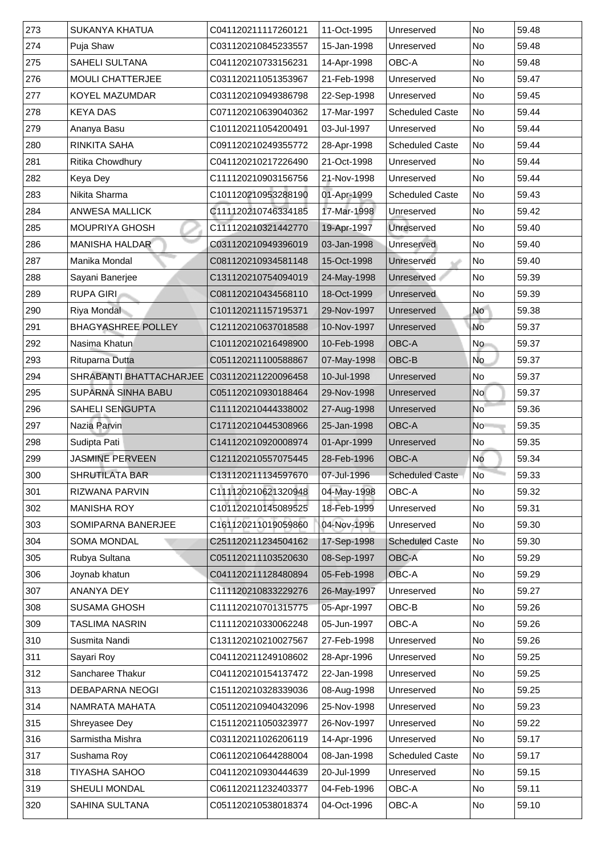| 273           | <b>SUKANYA KHATUA</b>          | C041120211117260121 | 11-Oct-1995 | Unreserved             | <b>No</b> | 59.48 |
|---------------|--------------------------------|---------------------|-------------|------------------------|-----------|-------|
| 274           | Puja Shaw                      | C031120210845233557 | 15-Jan-1998 | Unreserved             | No        | 59.48 |
| 275           | <b>SAHELI SULTANA</b>          | C041120210733156231 | 14-Apr-1998 | <b>OBC-A</b>           | No        | 59.48 |
| 276           | <b>MOULI CHATTERJEE</b>        | C031120211051353967 | 21-Feb-1998 | Unreserved             | No        | 59.47 |
| 277           | <b>KOYEL MAZUMDAR</b>          | C031120210949386798 | 22-Sep-1998 | Unreserved             | No        | 59.45 |
| 278           | <b>KEYA DAS</b>                | C071120210639040362 | 17-Mar-1997 | <b>Scheduled Caste</b> | No        | 59.44 |
| 279           | Ananya Basu                    | C101120211054200491 | 03-Jul-1997 | Unreserved             | No        | 59.44 |
| 280           | <b>RINKITA SAHA</b>            | C091120210249355772 | 28-Apr-1998 | <b>Scheduled Caste</b> | No        | 59.44 |
| 281           | <b>Ritika Chowdhury</b>        | C041120210217226490 | 21-Oct-1998 | Unreserved             | No        | 59.44 |
| 282           | <b>Keya Dey</b>                | C111120210903156756 | 21-Nov-1998 | Unreserved             | No        | 59.44 |
| 283           | Nikita Sharma                  | C101120210953288190 | 01-Apr-1999 | <b>Scheduled Caste</b> | No        | 59.43 |
| 284           | <b>ANWESA MALLICK</b>          | C111120210746334185 | 17-Mar-1998 | Unreserved             | No        | 59.42 |
| 285           | <b>MOUPRIYA GHOSH</b>          | C111120210321442770 | 19-Apr-1997 | <b>Unreserved</b>      | No        | 59.40 |
| 286           | <b>MANISHA HALDAR</b>          | C031120210949396019 | 03-Jan-1998 | Unreserved             | No        | 59.40 |
| 287           | Manika Mondal                  | C081120210934581148 | 15-Oct-1998 | Unreserved             | No        | 59.40 |
| 288           | Sayani Banerjee                | C131120210754094019 | 24-May-1998 | Unreserved             | No        | 59.39 |
| 289           | <b>RUPA GIRI</b>               | C081120210434568110 | 18-Oct-1999 | <b>Unreserved</b>      | No        | 59.39 |
| 290           | <b>Riya Mondal</b>             | C101120211157195371 | 29-Nov-1997 | Unreserved             | <b>No</b> | 59.38 |
| 291           | <b>BHAGYASHREE POLLEY</b>      | C121120210637018588 | 10-Nov-1997 | Unreserved             | <b>No</b> | 59.37 |
| 292           | Nasima Khatun                  | C101120210216498900 | 10-Feb-1998 | <b>OBC-A</b>           | <b>No</b> | 59.37 |
| 293           | <b>Rituparna Dutta</b>         | C051120211100588867 | 07-May-1998 | OBC-B                  | <b>No</b> | 59.37 |
| 294           | <b>SHRABANTI BHATTACHARJEE</b> | C031120211220096458 | 10-Jul-1998 | Unreserved             | No        | 59.37 |
| 295           | <b>SUPARNA SINHA BABU</b>      | C051120210930188464 | 29-Nov-1998 | Unreserved             | No        | 59.37 |
| 296           | <b>SAHELI SENGUPTA</b>         | C111120210444338002 | 27-Aug-1998 | Unreserved             | <b>No</b> | 59.36 |
| 297           | Nazia Parvin                   | C171120210445308966 | 25-Jan-1998 | OBC-A                  | <b>No</b> | 59.35 |
| 298           | Sudipta Pati                   | C141120210920008974 | 01-Apr-1999 | Unreserved             | No        | 59.35 |
| 299           | <b>JASMINE PERVEEN</b>         | C121120210557075445 | 28-Feb-1996 | <b>OBC-A</b>           | No        | 59.34 |
| 300           | <b>SHRUTILATA BAR</b>          | C131120211134597670 | 07-Jul-1996 | <b>Scheduled Caste</b> | No        | 59.33 |
| 301           | <b>RIZWANA PARVIN</b>          | C111120210621320948 | 04-May-1998 | <b>OBC-A</b>           | No        | 59.32 |
| 302           | <b>MANISHA ROY</b>             | C101120210145089525 | 18-Feb-1999 | Unreserved             | <b>No</b> | 59.31 |
| 303           | <b>SOMIPARNA BANERJEE</b>      | C161120211019059860 | 04-Nov-1996 | Unreserved             | No        | 59.30 |
| 304           | <b>SOMA MONDAL</b>             | C251120211234504162 | 17-Sep-1998 | <b>Scheduled Caste</b> | No        | 59.30 |
| 305           | Rubya Sultana                  | C051120211103520630 | 08-Sep-1997 | <b>OBC-A</b>           | <b>No</b> | 59.29 |
| 306           | Joynab khatun                  | C041120211128480894 | 05-Feb-1998 | OBC-A                  | <b>No</b> | 59.29 |
| 307           | <b>ANANYA DEY</b>              | C111120210833229276 | 26-May-1997 | Unreserved             | No        | 59.27 |
| 308           | <b>SUSAMA GHOSH</b>            | C111120210701315775 | 05-Apr-1997 | OBC-B                  | No        | 59.26 |
| 309           | TASLIMA NASRIN                 | C111120210330062248 | 05-Jun-1997 | <b>OBC-A</b>           | <b>No</b> | 59.26 |
| 310           | <b>Susmita Nandi</b>           | C131120210210027567 | 27-Feb-1998 | Unreserved             | <b>No</b> | 59.26 |
| 311           | Sayari Roy                     | C041120211249108602 | 28-Apr-1996 | Unreserved             | No        | 59.25 |
| $ 312\rangle$ | <b>Sancharee Thakur</b>        | C041120210154137472 | 22-Jan-1998 | Unreserved             | No        | 59.25 |
| 313           | <b>DEBAPARNA NEOGI</b>         | C151120210328339036 | 08-Aug-1998 | Unreserved             | No        | 59.25 |
| 314           | NAMRATA MAHATA                 | C051120210940432096 | 25-Nov-1998 | Unreserved             | No        | 59.23 |
| 315           | <b>Shreyasee Dey</b>           | C151120211050323977 | 26-Nov-1997 | Unreserved             | No        | 59.22 |
| 316           | Sarmistha Mishra               | C031120211026206119 | 14-Apr-1996 | Unreserved             | No        | 59.17 |
| 317           | Sushama Roy                    | C061120210644288004 | 08-Jan-1998 | <b>Scheduled Caste</b> | No        | 59.17 |
| 318           | <b>TIYASHA SAHOO</b>           | C041120210930444639 | 20-Jul-1999 | Unreserved             | No        | 59.15 |
| 319           | <b>SHEULI MONDAL</b>           | C061120211232403377 | 04-Feb-1996 | <b>OBC-A</b>           | No        | 59.11 |
| 320           | <b>SAHINA SULTANA</b>          | C051120210538018374 | 04-Oct-1996 | OBC-A                  | No        | 59.10 |
|               |                                |                     |             |                        |           |       |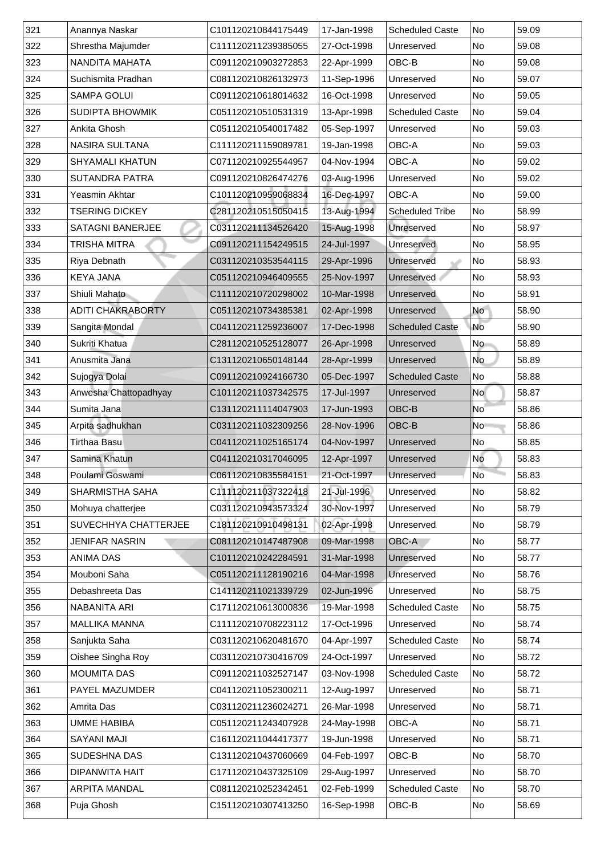| 321 | Anannya Naskar              | C101120210844175449 | 17-Jan-1998 | <b>Scheduled Caste</b> | No             | 59.09 |
|-----|-----------------------------|---------------------|-------------|------------------------|----------------|-------|
| 322 | Shrestha Majumder           | C111120211239385055 | 27-Oct-1998 | Unreserved             | No             | 59.08 |
| 323 | NANDITA MAHATA              | C091120210903272853 | 22-Apr-1999 | OBC-B                  | N <sub>o</sub> | 59.08 |
| 324 | Suchismita Pradhan          | C081120210826132973 | 11-Sep-1996 | Unreserved             | No             | 59.07 |
| 325 | <b>SAMPA GOLUI</b>          | C091120210618014632 | 16-Oct-1998 | Unreserved             | N <sub>o</sub> | 59.05 |
| 326 | <b>SUDIPTA BHOWMIK</b>      | C051120210510531319 | 13-Apr-1998 | <b>Scheduled Caste</b> | No             | 59.04 |
| 327 | <b>Ankita Ghosh</b>         | C051120210540017482 | 05-Sep-1997 | Unreserved             | No             | 59.03 |
| 328 | <b>NASIRA SULTANA</b>       | C111120211159089781 | 19-Jan-1998 | <b>OBC-A</b>           | N <sub>o</sub> | 59.03 |
| 329 | <b>SHYAMALI KHATUN</b>      | C071120210925544957 | 04-Nov-1994 | <b>OBC-A</b>           | No             | 59.02 |
| 330 | <b>SUTANDRA PATRA</b>       | C091120210826474276 | 03-Aug-1996 | Unreserved             | N <sub>o</sub> | 59.02 |
| 331 | <b>Yeasmin Akhtar</b>       | C101120210959068834 | 16-Dec-1997 | OBC-A                  | No             | 59.00 |
| 332 | <b>TSERING DICKEY</b>       | C281120210515050415 | 13-Aug-1994 | <b>Scheduled Tribe</b> | No             | 58.99 |
| 333 | <b>SATAGNI BANERJEE</b>     | C031120211134526420 | 15-Aug-1998 | Unreserved             | No             | 58.97 |
| 334 | <b>TRISHA MITRA</b>         | C091120211154249515 | 24-Jul-1997 | Unreserved             | No             | 58.95 |
| 335 | <b>Riya Debnath</b>         | C031120210353544115 | 29-Apr-1996 | Unreserved             | N <sub>o</sub> | 58.93 |
| 336 | <b>KEYA JANA</b>            | C051120210946409555 | 25-Nov-1997 | Unreserved             | No             | 58.93 |
| 337 | Shiuli Mahato               | C111120210720298002 | 10-Mar-1998 | Unreserved             | No             | 58.91 |
| 338 | <b>ADITI CHAKRABORTY</b>    | C051120210734385381 | 02-Apr-1998 | Unreserved             | No             | 58.90 |
| 339 | Sangita Mondal              | C041120211259236007 | 17-Dec-1998 | <b>Scheduled Caste</b> | No             | 58.90 |
| 340 | Sukriti Khatua              | C281120210525128077 | 26-Apr-1998 | Unreserved             | No             | 58.89 |
| 341 | Anusmita Jana               | C131120210650148144 | 28-Apr-1999 | Unreserved             | No             | 58.89 |
| 342 | Sujogya Dolai               | C091120210924166730 | 05-Dec-1997 | <b>Scheduled Caste</b> | No             | 58.88 |
| 343 | Anwesha Chattopadhyay       | C101120211037342575 | 17-Jul-1997 | Unreserved             | No l           | 58.87 |
| 344 | Sumita Jana                 | C131120211114047903 | 17-Jun-1993 | <b>OBC-B</b>           | N <sub>o</sub> | 58.86 |
| 345 | Arpita sadhukhan            | C031120211032309256 | 28-Nov-1996 | <b>OBC-B</b>           | No             | 58.86 |
| 346 | <b>Tirthaa Basu</b>         | C041120211025165174 | 04-Nov-1997 | Unreserved             | No             | 58.85 |
| 347 | Samina Khatun               | C041120210317046095 | 12-Apr-1997 | Unreserved             | <b>No</b>      | 58.83 |
| 348 | Poulami Goswami             | C061120210835584151 | 21-Oct-1997 | Unreserved             | <b>No</b>      | 58.83 |
| 349 | <b>SHARMISTHA SAHA</b>      | C111120211037322418 | 21-Jul-1996 | Unreserved             | No             | 58.82 |
| 350 | Mohuya chatterjee           | C031120210943573324 | 30-Nov-1997 | Unreserved             | No             | 58.79 |
| 351 | <b>SUVECHHYA CHATTERJEE</b> | C181120210910498131 | 02-Apr-1998 | Unreserved             | No             | 58.79 |
| 352 | <b>JENIFAR NASRIN</b>       | C081120210147487908 | 09-Mar-1998 | <b>OBC-A</b>           | No             | 58.77 |
| 353 | <b>ANIMA DAS</b>            | C101120210242284591 | 31-Mar-1998 | Unreserved             | N <sub>o</sub> | 58.77 |
| 354 | Mouboni Saha                | C051120211128190216 | 04-Mar-1998 | <b>Unreserved</b>      | No             | 58.76 |
| 355 | Debashreeta Das             | C141120211021339729 | 02-Jun-1996 | Unreserved             | No             | 58.75 |
| 356 | NABANITA ARI                | C171120210613000836 | 19-Mar-1998 | <b>Scheduled Caste</b> | No             | 58.75 |
| 357 | <b>MALLIKA MANNA</b>        | C111120210708223112 | 17-Oct-1996 | Unreserved             | No             | 58.74 |
| 358 | Sanjukta Saha               | C031120210620481670 | 04-Apr-1997 | <b>Scheduled Caste</b> | No             | 58.74 |
| 359 | <b>Oishee Singha Roy</b>    | C031120210730416709 | 24-Oct-1997 | Unreserved             | No             | 58.72 |
| 360 | <b>MOUMITA DAS</b>          | C091120211032527147 | 03-Nov-1998 | <b>Scheduled Caste</b> | No             | 58.72 |
| 361 | <b>PAYEL MAZUMDER</b>       | C041120211052300211 | 12-Aug-1997 | Unreserved             | No             | 58.71 |
| 362 | <b>Amrita Das</b>           | C031120211236024271 | 26-Mar-1998 | Unreserved             | N <sub>o</sub> | 58.71 |
| 363 | <b>UMME HABIBA</b>          | C051120211243407928 | 24-May-1998 | OBC-A                  | No             | 58.71 |
| 364 | <b>SAYANI MAJI</b>          | C161120211044417377 | 19-Jun-1998 | Unreserved             | No No          | 58.71 |
| 365 | <b>SUDESHNA DAS</b>         | C131120210437060669 | 04-Feb-1997 | OBC-B                  | No             | 58.70 |
| 366 | DIPANWITA HAIT              | C171120210437325109 | 29-Aug-1997 | Unreserved             | No No          | 58.70 |
| 367 | <b>ARPITA MANDAL</b>        | C081120210252342451 | 02-Feb-1999 | <b>Scheduled Caste</b> | No             | 58.70 |
| 368 | Puja Ghosh                  | C151120210307413250 | 16-Sep-1998 | OBC-B                  | No             | 58.69 |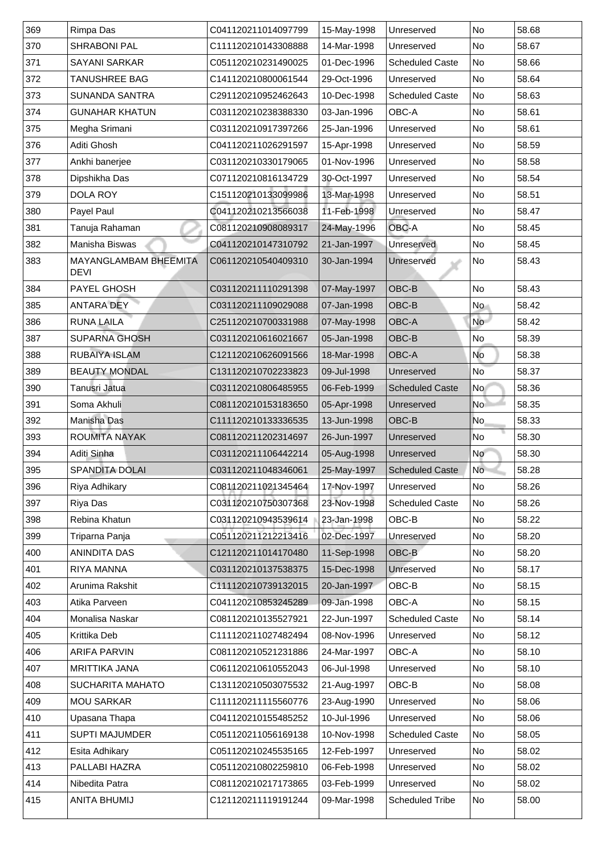| 369           | <b>Rimpa Das</b>                            | C041120211014097799 | 15-May-1998 | Unreserved                       | No              | 58.68 |
|---------------|---------------------------------------------|---------------------|-------------|----------------------------------|-----------------|-------|
| 370           | <b>SHRABONI PAL</b>                         | C111120210143308888 | 14-Mar-1998 | Unreserved                       | No              | 58.67 |
| 371           | <b>SAYANI SARKAR</b>                        | C051120210231490025 | 01-Dec-1996 | <b>Scheduled Caste</b>           | No              | 58.66 |
| 372           | <b>TANUSHREE BAG</b>                        | C141120210800061544 | 29-Oct-1996 | Unreserved                       | No              | 58.64 |
| 373           | <b>SUNANDA SANTRA</b>                       | C291120210952462643 | 10-Dec-1998 | <b>Scheduled Caste</b>           | No              | 58.63 |
| 374           | <b>GUNAHAR KHATUN</b>                       | C031120210238388330 | 03-Jan-1996 | <b>OBC-A</b>                     | No              | 58.61 |
| 375           | Megha Srimani                               | C031120210917397266 | 25-Jan-1996 | Unreserved                       | No              | 58.61 |
| 376           | Aditi Ghosh                                 | C041120211026291597 | 15-Apr-1998 | Unreserved                       | No              | 58.59 |
| 377           | Ankhi banerjee                              | C031120210330179065 | 01-Nov-1996 | Unreserved                       | No              | 58.58 |
| 378           | Dipshikha Das                               | C071120210816134729 | 30-Oct-1997 | Unreserved                       | No              | 58.54 |
| 379           | <b>DOLA ROY</b>                             | C151120210133099986 | 13-Mar-1998 | Unreserved                       | No              | 58.51 |
| 380           | <b>Payel Paul</b>                           | C041120210213566038 | 11-Feb-1998 | Unreserved                       | No              | 58.47 |
| 381           | Tanuja Rahaman                              | C081120210908089317 | 24-May-1996 | <b>OBC-A</b>                     | No              | 58.45 |
| 382           | <b>Manisha Biswas</b>                       | C041120210147310792 | 21-Jan-1997 | Unreserved                       | No              | 58.45 |
| 383           | <b>MAYANGLAMBAM BHEEMITA</b><br><b>DEVI</b> | C061120210540409310 | 30-Jan-1994 | Unreserved                       | N <sub>o</sub>  | 58.43 |
| 384           | <b>PAYEL GHOSH</b>                          | C031120211110291398 | 07-May-1997 | $\overline{\textsf{OBC-B}}$      | No              | 58.43 |
| 385           | <b>ANTARA DEY</b>                           | C031120211109029088 | 07-Jan-1998 | <b>OBC-B</b>                     | No              | 58.42 |
| 386           | <b>RUNA LAILA</b>                           | C251120210700331988 | 07-May-1998 | OBC-A                            | No l            | 58.42 |
| 387           | <b>SUPARNA GHOSH</b>                        | C031120210616021667 | 05-Jan-1998 | OBC-B                            | No              | 58.39 |
| 388           | <b>RUBAIYA ISLAM</b>                        | C121120210626091566 | 18-Mar-1998 | <b>OBC-A</b>                     | No              | 58.38 |
| 389           | <b>BEAUTY MONDAL</b>                        | C131120210702233823 | 09-Jul-1998 | Unreserved                       | No <sup>1</sup> | 58.37 |
| 390           | Tanusri Jatua                               | C031120210806485955 | 06-Feb-1999 | <b>Scheduled Caste</b>           | No l            | 58.36 |
| 391           | Soma Akhuli                                 | C081120210153183650 | 05-Apr-1998 | Unreserved                       | No.             | 58.35 |
| 392           | <b>Manisha Das</b>                          | C111120210133336535 | 13-Jun-1998 | <b>OBC-B</b>                     | No              | 58.33 |
| 393           | <b>ROUMITA NAYAK</b>                        | C081120211202314697 | 26-Jun-1997 | Unreserved                       | No              | 58.30 |
| 394           | Aditi Sinha                                 | C031120211106442214 | 05-Aug-1998 | Unreserved                       | No.             | 58.30 |
| 395           | <b>SPANDITA DOLAI</b>                       | C031120211048346061 | 25-May-1997 | <b>Scheduled Caste</b>           | <b>No</b>       | 58.28 |
| 396           | <b>Riya Adhikary</b>                        | C081120211021345464 | 17-Nov-1997 | Unreserved                       | No              | 58.26 |
| 397           | <b>Riya Das</b>                             | C031120210750307368 | 23-Nov-1998 | <b>Scheduled Caste</b>           | No              | 58.26 |
| 398           | <b>Rebina Khatun</b>                        | C031120210943539614 | 23-Jan-1998 | OBC-B                            | No              | 58.22 |
| 399           | Triparna Panja                              | C051120211212213416 | 02-Dec-1997 | Unreserved                       | No              | 58.20 |
| 400           | <b>ANINDITA DAS</b>                         | C121120211014170480 | 11-Sep-1998 | $\mathsf{OBC}\text{-}\mathsf{B}$ | No              | 58.20 |
| 401           | <b>RIYA MANNA</b>                           | C031120210137538375 | 15-Dec-1998 | <b>Unreserved</b>                | No              | 58.17 |
| 402           | Arunima Rakshit                             | C111120210739132015 | 20-Jan-1997 | OBC-B                            | No              | 58.15 |
| 403           | Atika Parveen                               | C041120210853245289 | 09-Jan-1998 | <b>OBC-A</b>                     | No              | 58.15 |
| 404           | Monalisa Naskar                             | C081120210135527921 | 22-Jun-1997 | <b>Scheduled Caste</b>           | No              | 58.14 |
| 405           | <b>Krittika Deb</b>                         | C111120211027482494 | 08-Nov-1996 | Unreserved                       | No              | 58.12 |
| 406           | <b>ARIFA PARVIN</b>                         | C081120210521231886 | 24-Mar-1997 | <b>OBC-A</b>                     | No              | 58.10 |
| 407           | <b>MRITTIKA JANA</b>                        | C061120210610552043 | 06-Jul-1998 | Unreserved                       | N <sub>o</sub>  | 58.10 |
| 408           | <b>SUCHARITA MAHATO</b>                     | C131120210503075532 | 21-Aug-1997 | OBC-B                            | No              | 58.08 |
| 409           | <b>MOU SARKAR</b>                           | C111120211115560776 | 23-Aug-1990 | Unreserved                       | No              | 58.06 |
| 410           | Upasana Thapa                               | C041120210155485252 | 10-Jul-1996 | Unreserved                       | No              | 58.06 |
| 411           | <b>SUPTI MAJUMDER</b>                       | C051120211056169138 | 10-Nov-1998 | <b>Scheduled Caste</b>           | No              | 58.05 |
| 412           | Esita Adhikary                              | C051120210245535165 | 12-Feb-1997 | Unreserved                       | No              | 58.02 |
| $ 413\rangle$ | PALLABI HAZRA                               | C051120210802259810 | 06-Feb-1998 | Unreserved                       | No              | 58.02 |
| $ 414\rangle$ | Nibedita Patra                              | C081120210217173865 | 03-Feb-1999 | Unreserved                       | No              | 58.02 |
| 415           | <b>ANITA BHUMIJ</b>                         | C121120211119191244 | 09-Mar-1998 | <b>Scheduled Tribe</b>           | No              | 58.00 |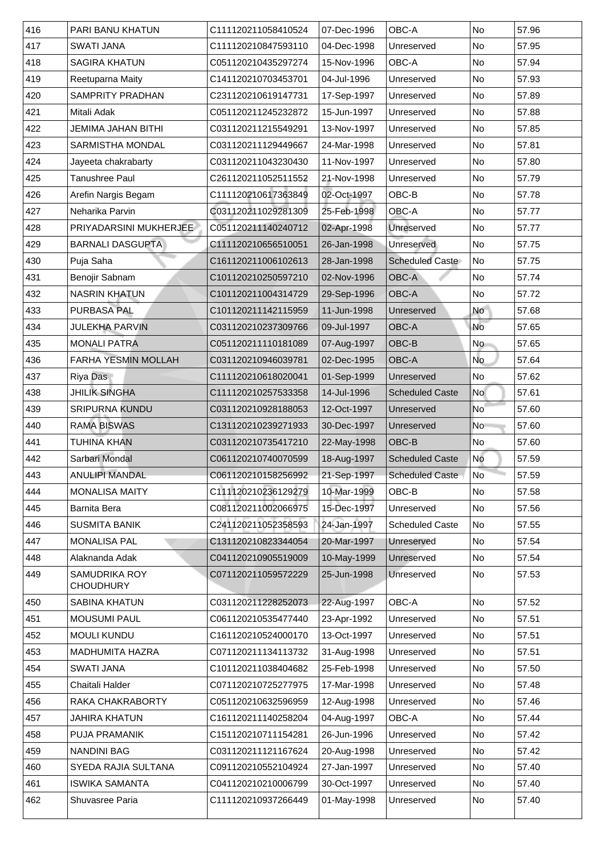| 416 | <b>PARI BANU KHATUN</b>                  | C111120211058410524 | 07-Dec-1996 | <b>OBC-A</b>           | <b>No</b>                | 57.96 |
|-----|------------------------------------------|---------------------|-------------|------------------------|--------------------------|-------|
| 417 | <b>SWATI JANA</b>                        | C111120210847593110 | 04-Dec-1998 | Unreserved             | No                       | 57.95 |
| 418 | <b>SAGIRA KHATUN</b>                     | C051120210435297274 | 15-Nov-1996 | <b>OBC-A</b>           | No                       | 57.94 |
| 419 | <b>Reetuparna Maity</b>                  | C141120210703453701 | 04-Jul-1996 | Unreserved             | No                       | 57.93 |
| 420 | <b>SAMPRITY PRADHAN</b>                  | C231120210619147731 | 17-Sep-1997 | Unreserved             | No                       | 57.89 |
| 421 | Mitali Adak                              | C051120211245232872 | 15-Jun-1997 | Unreserved             | No                       | 57.88 |
| 422 | <b>JEMIMA JAHAN BITHI</b>                | C031120211215549291 | 13-Nov-1997 | Unreserved             | No                       | 57.85 |
| 423 | <b>SARMISTHA MONDAL</b>                  | C031120211129449667 | 24-Mar-1998 | Unreserved             | No                       | 57.81 |
| 424 | Jayeeta chakrabarty                      | C031120211043230430 | 11-Nov-1997 | Unreserved             | No                       | 57.80 |
| 425 | Tanushree Paul                           | C261120211052511552 | 21-Nov-1998 | Unreserved             | No                       | 57.79 |
| 426 | Arefin Nargis Begam                      | C111120210617363849 | 02-Oct-1997 | OBC-B                  | <b>No</b>                | 57.78 |
| 427 | Neharika Parvin                          | C031120211029281309 | 25-Feb-1998 | <b>OBC-A</b>           | No                       | 57.77 |
| 428 | <b>PRIYADARSINI MUKHERJEE</b>            | C051120211140240712 | 02-Apr-1998 | <b>Unreserved</b>      | No                       | 57.77 |
| 429 | <b>BARNALI DASGUPTA</b>                  | C111120210656510051 | 26-Jan-1998 | Unreserved             | No                       | 57.75 |
| 430 | Puja Saha                                | C161120211006102613 | 28-Jan-1998 | <b>Scheduled Caste</b> | No                       | 57.75 |
| 431 | <b>Benojir Sabnam</b>                    | C101120210250597210 | 02-Nov-1996 | <b>OBC-A</b>           | <b>No</b>                | 57.74 |
| 432 | <b>NASRIN KHATUN</b>                     | C101120211004314729 | 29-Sep-1996 | OBC-A                  | No                       | 57.72 |
| 433 | <b>PURBASA PAL</b>                       | C101120211142115959 | 11-Jun-1998 | Unreserved             | <b>No</b>                | 57.68 |
| 434 | <b>JULEKHA PARVIN</b>                    | C031120210237309766 | 09-Jul-1997 | <b>OBC-A</b>           | <b>No</b>                | 57.65 |
| 435 | <b>MONALI PATRA</b>                      | C051120211110181089 | 07-Aug-1997 | OBC-B                  | <b>No</b>                | 57.65 |
| 436 | <b>FARHA YESMIN MOLLAH</b>               | C031120210946039781 | 02-Dec-1995 | <b>OBC-A</b>           | <b>No</b>                | 57.64 |
| 437 | <b>Riya Das</b>                          | C111120210618020041 | 01-Sep-1999 | Unreserved             | No                       | 57.62 |
| 438 | <b>JHILIK SINGHA</b>                     | C111120210257533358 | 14-Jul-1996 | <b>Scheduled Caste</b> | No                       | 57.61 |
| 439 | <b>SRIPURNA KUNDU</b>                    | C031120210928188053 | 12-Oct-1997 | Unreserved             | $\overline{\mathsf{No}}$ | 57.60 |
| 440 | <b>RAMA BISWAS</b>                       | C131120210239271933 | 30-Dec-1997 | Unreserved             | <b>No</b>                | 57.60 |
| 441 | <b>TUHINA KHAN</b>                       | C031120210735417210 | 22-May-1998 | OBC-B                  | No                       | 57.60 |
| 442 | Sarbari Mondal                           | C061120210740070599 | 18-Aug-1997 | <b>Scheduled Caste</b> | No                       | 57.59 |
| 443 | <b>ANULIPI MANDAL</b>                    | C061120210158256992 | 21-Sep-1997 | <b>Scheduled Caste</b> | No                       | 57.59 |
| 444 | <b>MONALISA MAITY</b>                    | C111120210236129279 | 10-Mar-1999 | OBC-B                  | <b>No</b>                | 57.58 |
| 445 | <b>Barnita Bera</b>                      | C081120211002066975 | 15-Dec-1997 | Unreserved             | <b>No</b>                | 57.56 |
| 446 | <b>SUSMITA BANIK</b>                     | C241120211052358593 | 24-Jan-1997 | <b>Scheduled Caste</b> | No                       | 57.55 |
| 447 | <b>MONALISA PAL</b>                      | C131120210823344054 | 20-Mar-1997 | <b>Unreserved</b>      | No                       | 57.54 |
| 448 | Alaknanda Adak                           | C041120210905519009 | 10-May-1999 | Unreserved             | No                       | 57.54 |
| 449 | <b>SAMUDRIKA ROY</b><br><b>CHOUDHURY</b> | C071120211059572229 | 25-Jun-1998 | Unreserved             | <b>No</b>                | 57.53 |
| 450 | <b>SABINA KHATUN</b>                     | C031120211228252073 | 22-Aug-1997 | <b>OBC-A</b>           | <b>No</b>                | 57.52 |
| 451 | <b>MOUSUMI PAUL</b>                      | C061120210535477440 | 23-Apr-1992 | Unreserved             | No                       | 57.51 |
| 452 | <b>MOULI KUNDU</b>                       | C161120210524000170 | 13-Oct-1997 | Unreserved             | <b>No</b>                | 57.51 |
| 453 | <b>MADHUMITA HAZRA</b>                   | C071120211134113732 | 31-Aug-1998 | Unreserved             | <b>No</b>                | 57.51 |
| 454 | <b>SWATI JANA</b>                        | C101120211038404682 | 25-Feb-1998 | Unreserved             | No                       | 57.50 |
| 455 | <b>Chaitali Halder</b>                   | C071120210725277975 | 17-Mar-1998 | Unreserved             | <b>No</b>                | 57.48 |
| 456 | RAKA CHAKRABORTY                         | C051120210632596959 | 12-Aug-1998 | Unreserved             | No                       | 57.46 |
| 457 | <b>JAHIRA KHATUN</b>                     | C161120211140258204 | 04-Aug-1997 | OBC-A                  | No                       | 57.44 |
| 458 | <b>PUJA PRAMANIK</b>                     | C151120210711154281 | 26-Jun-1996 | Unreserved             | No                       | 57.42 |
| 459 | <b>NANDINI BAG</b>                       | C031120211121167624 | 20-Aug-1998 | Unreserved             | No                       | 57.42 |
| 460 | <b>SYEDA RAJIA SULTANA</b>               | C091120210552104924 | 27-Jan-1997 | Unreserved             | No                       | 57.40 |
| 461 | <b>ISWIKA SAMANTA</b>                    | C041120210210006799 | 30-Oct-1997 | Unreserved             | No                       | 57.40 |
| 462 | <b>Shuvasree Paria</b>                   | C111120210937266449 | 01-May-1998 | Unreserved             | No                       | 57.40 |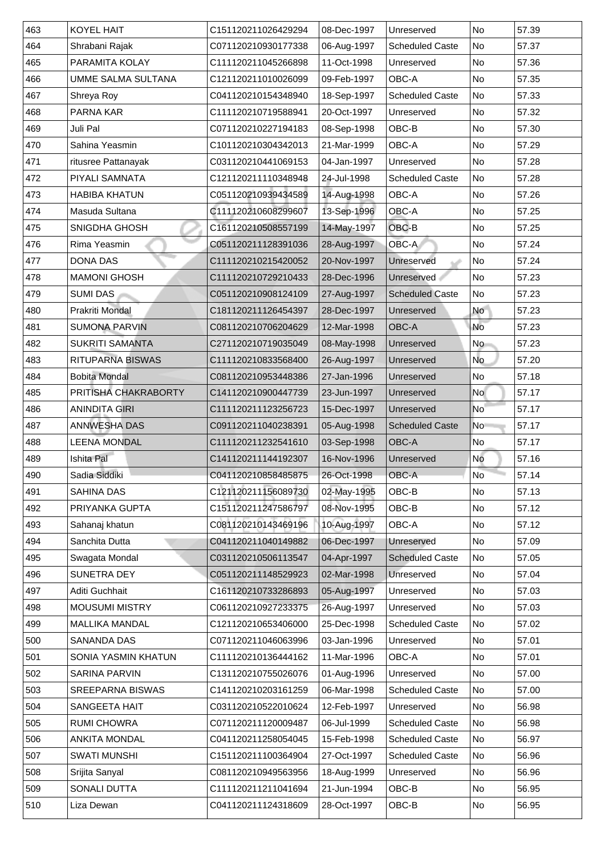| 463 | <b>KOYEL HAIT</b>          | C151120211026429294 | 08-Dec-1997 | Unreserved             | <b>No</b>                | 57.39 |
|-----|----------------------------|---------------------|-------------|------------------------|--------------------------|-------|
| 464 | Shrabani Rajak             | C071120210930177338 | 06-Aug-1997 | <b>Scheduled Caste</b> | No                       | 57.37 |
| 465 | <b>PARAMITA KOLAY</b>      | C111120211045266898 | 11-Oct-1998 | Unreserved             | No                       | 57.36 |
| 466 | <b>UMME SALMA SULTANA</b>  | C121120211010026099 | 09-Feb-1997 | <b>OBC-A</b>           | <b>No</b>                | 57.35 |
| 467 | <b>Shreya Roy</b>          | C041120210154348940 | 18-Sep-1997 | <b>Scheduled Caste</b> | No                       | 57.33 |
| 468 | <b>PARNA KAR</b>           | C111120210719588941 | 20-Oct-1997 | Unreserved             | No                       | 57.32 |
| 469 | Juli Pal                   | C071120210227194183 | 08-Sep-1998 | OBC-B                  | <b>No</b>                | 57.30 |
| 470 | Sahina Yeasmin             | C101120210304342013 | 21-Mar-1999 | <b>OBC-A</b>           | <b>No</b>                | 57.29 |
| 471 | ritusree Pattanayak        | C031120210441069153 | 04-Jan-1997 | Unreserved             | No                       | 57.28 |
| 472 | <b>PIYALI SAMNATA</b>      | C121120211110348948 | 24-Jul-1998 | <b>Scheduled Caste</b> | No                       | 57.28 |
| 473 | <b>HABIBA KHATUN</b>       | C051120210939434589 | 14-Aug-1998 | <b>OBC-A</b>           | <b>No</b>                | 57.26 |
| 474 | Masuda Sultana             | C111120210608299607 | 13-Sep-1996 | <b>OBC-A</b>           | <b>No</b>                | 57.25 |
| 475 | <b>SNIGDHA GHOSH</b>       | C161120210508557199 | 14-May-1997 | OBC-B                  | <b>No</b>                | 57.25 |
| 476 | Rima Yeasmin               | C051120211128391036 | 28-Aug-1997 | OBC-A                  | No                       | 57.24 |
| 477 | <b>DONA DAS</b>            | C111120210215420052 | 20-Nov-1997 | Unreserved             | No                       | 57.24 |
| 478 | <b>MAMONI GHOSH</b>        | C111120210729210433 | 28-Dec-1996 | <b>Unreserved</b>      | No                       | 57.23 |
| 479 | <b>SUMI DAS</b>            | C051120210908124109 | 27-Aug-1997 | <b>Scheduled Caste</b> | No                       | 57.23 |
| 480 | <b>Prakriti Mondal</b>     | C181120211126454397 | 28-Dec-1997 | Unreserved             | <b>No</b>                | 57.23 |
| 481 | <b>SUMONA PARVIN</b>       | C081120210706204629 | 12-Mar-1998 | <b>OBC-A</b>           | <b>No</b>                | 57.23 |
| 482 | <b>SUKRITI SAMANTA</b>     | C271120210719035049 | 08-May-1998 | Unreserved             | No                       | 57.23 |
| 483 | <b>RITUPARNA BISWAS</b>    | C111120210833568400 | 26-Aug-1997 | Unreserved             | <b>No</b>                | 57.20 |
| 484 | <b>Bobita Mondal</b>       | C081120210953448386 | 27-Jan-1996 | Unreserved             | No                       | 57.18 |
| 485 | PRITISHA CHAKRABORTY       | C141120210900447739 | 23-Jun-1997 | Unreserved             | No                       | 57.17 |
| 486 | <b>ANINDITA GIRI</b>       | C111120211123256723 | 15-Dec-1997 | Unreserved             | $\overline{\mathsf{No}}$ | 57.17 |
| 487 | <b>ANNWESHA DAS</b>        | C091120211040238391 | 05-Aug-1998 | <b>Scheduled Caste</b> | No                       | 57.17 |
| 488 | <b>LEENA MONDAL</b>        | C111120211232541610 | 03-Sep-1998 | <b>OBC-A</b>           | No                       | 57.17 |
| 489 | <b>Ishita Pal</b>          | C141120211144192307 | 16-Nov-1996 | Unreserved             | No                       | 57.16 |
| 490 | Sadia Siddiki              | C041120210858485875 | 26-Oct-1998 | <b>OBC-A</b>           | <b>No</b>                | 57.14 |
| 491 | <b>SAHINA DAS</b>          | C121120211156089730 | 02-May-1995 | OBC-B                  | <b>No</b>                | 57.13 |
| 492 | PRIYANKA GUPTA             | C151120211247586797 | 08-Nov-1995 | OBC-B                  | <b>No</b>                | 57.12 |
| 493 | Sahanaj khatun             | C081120210143469196 | 10-Aug-1997 | <b>OBC-A</b>           | <b>No</b>                | 57.12 |
| 494 | <b>Sanchita Dutta</b>      | C041120211040149882 | 06-Dec-1997 | <b>Unreserved</b>      | No                       | 57.09 |
| 495 | Swagata Mondal             | C031120210506113547 | 04-Apr-1997 | <b>Scheduled Caste</b> | No                       | 57.05 |
| 496 | <b>SUNETRA DEY</b>         | C051120211148529923 | 02-Mar-1998 | Unreserved             | No                       | 57.04 |
| 497 | <b>Aditi Guchhait</b>      | C161120210733286893 | 05-Aug-1997 | Unreserved             | <b>No</b>                | 57.03 |
| 498 | <b>MOUSUMI MISTRY</b>      | C061120210927233375 | 26-Aug-1997 | Unreserved             | No                       | 57.03 |
| 499 | <b>MALLIKA MANDAL</b>      | C121120210653406000 | 25-Dec-1998 | <b>Scheduled Caste</b> | No                       | 57.02 |
| 500 | <b>SANANDA DAS</b>         | C071120211046063996 | 03-Jan-1996 | Unreserved             | <b>No</b>                | 57.01 |
| 501 | <b>SONIA YASMIN KHATUN</b> | C111120210136444162 | 11-Mar-1996 | <b>OBC-A</b>           | <b>No</b>                | 57.01 |
| 502 | <b>SARINA PARVIN</b>       | C131120210755026076 | 01-Aug-1996 | Unreserved             | No                       | 57.00 |
| 503 | <b>SREEPARNA BISWAS</b>    | C141120210203161259 | 06-Mar-1998 | <b>Scheduled Caste</b> | No                       | 57.00 |
| 504 | <b>SANGEETA HAIT</b>       | C031120210522010624 | 12-Feb-1997 | Unreserved             | No                       | 56.98 |
| 505 | <b>RUMI CHOWRA</b>         | C071120211120009487 | 06-Jul-1999 | <b>Scheduled Caste</b> | No                       | 56.98 |
| 506 | <b>ANKITA MONDAL</b>       | C041120211258054045 | 15-Feb-1998 | <b>Scheduled Caste</b> | No                       | 56.97 |
| 507 | <b>SWATI MUNSHI</b>        | C151120211100364904 | 27-Oct-1997 | <b>Scheduled Caste</b> | No                       | 56.96 |
| 508 | Srijita Sanyal             | C081120210949563956 | 18-Aug-1999 | Unreserved             | No                       | 56.96 |
| 509 | <b>SONALI DUTTA</b>        | C111120211211041694 | 21-Jun-1994 | OBC-B                  | No                       | 56.95 |
| 510 | Liza Dewan                 | C041120211124318609 | 28-Oct-1997 | OBC-B                  | No                       | 56.95 |
|     |                            |                     |             |                        |                          |       |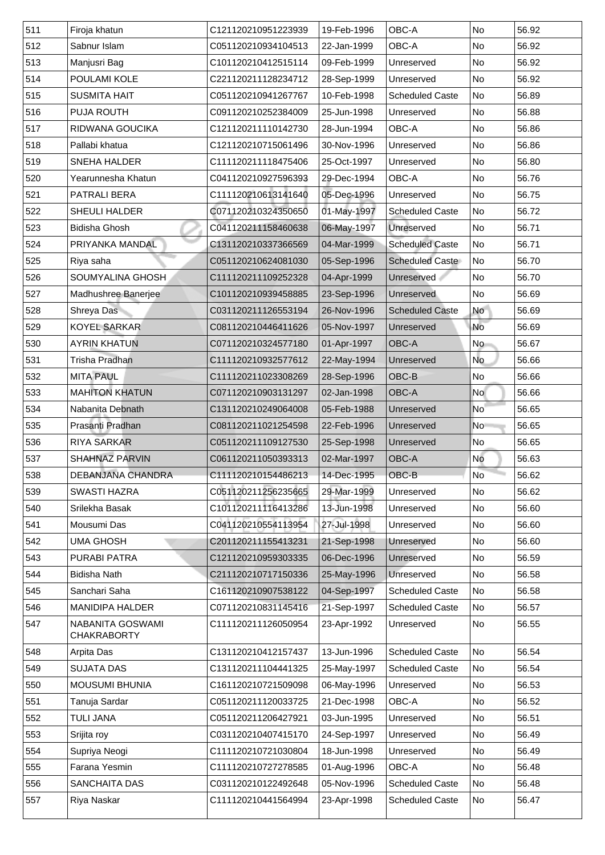| 511 | Firoja khatun                                 | C121120210951223939 | 19-Feb-1996 | <b>OBC-A</b>           | No                       | 56.92 |
|-----|-----------------------------------------------|---------------------|-------------|------------------------|--------------------------|-------|
| 512 | Sabnur Islam                                  | C051120210934104513 | 22-Jan-1999 | <b>OBC-A</b>           | No                       | 56.92 |
| 513 | Manjusri Bag                                  | C101120210412515114 | 09-Feb-1999 | Unreserved             | No                       | 56.92 |
| 514 | <b>POULAMI KOLE</b>                           | C221120211128234712 | 28-Sep-1999 | Unreserved             | No                       | 56.92 |
| 515 | <b>SUSMITA HAIT</b>                           | C051120210941267767 | 10-Feb-1998 | <b>Scheduled Caste</b> | N <sub>o</sub>           | 56.89 |
| 516 | <b>PUJA ROUTH</b>                             | C091120210252384009 | 25-Jun-1998 | Unreserved             | No                       | 56.88 |
| 517 | <b>RIDWANA GOUCIKA</b>                        | C121120211110142730 | 28-Jun-1994 | <b>OBC-A</b>           | No                       | 56.86 |
| 518 | Pallabi khatua                                | C121120210715061496 | 30-Nov-1996 | Unreserved             | No                       | 56.86 |
| 519 | <b>SNEHA HALDER</b>                           | C111120211118475406 | 25-Oct-1997 | Unreserved             | No                       | 56.80 |
| 520 | Yearunnesha Khatun                            | C041120210927596393 | 29-Dec-1994 | <b>OBC-A</b>           | <b>No</b>                | 56.76 |
| 521 | <b>PATRALI BERA</b>                           | C111120210613141640 | 05-Dec-1996 | Unreserved             | No                       | 56.75 |
| 522 | <b>SHEULI HALDER</b>                          | C071120210324350650 | 01-May-1997 | <b>Scheduled Caste</b> | No                       | 56.72 |
| 523 | <b>Bidisha Ghosh</b>                          | C041120211158460638 | 06-May-1997 | Unreserved             | No                       | 56.71 |
| 524 | PRIYANKA MANDAL                               | C131120210337366569 | 04-Mar-1999 | <b>Scheduled Caste</b> | No                       | 56.71 |
| 525 | Riya saha                                     | C051120210624081030 | 05-Sep-1996 | <b>Scheduled Caste</b> | No                       | 56.70 |
| 526 | <b>SOUMYALINA GHOSH</b>                       | C111120211109252328 | 04-Apr-1999 | Unreserved             | No                       | 56.70 |
| 527 | Madhushree Banerjee                           | C101120210939458885 | 23-Sep-1996 | <b>Unreserved</b>      | No                       | 56.69 |
| 528 | <b>Shreya Das</b>                             | C031120211126553194 | 26-Nov-1996 | <b>Scheduled Caste</b> | No                       | 56.69 |
| 529 | <b>KOYEL SARKAR</b>                           | C081120210446411626 | 05-Nov-1997 | Unreserved             | <b>No</b>                | 56.69 |
| 530 | <b>AYRIN KHATUN</b>                           | C071120210324577180 | 01-Apr-1997 | <b>OBC-A</b>           | No                       | 56.67 |
| 531 | <b>Trisha Pradhan</b>                         | C111120210932577612 | 22-May-1994 | Unreserved             | No                       | 56.66 |
| 532 | <b>MITA PAUL</b>                              | C111120211023308269 | 28-Sep-1996 | <b>OBC-B</b>           | No                       | 56.66 |
| 533 | <b>MAHITON KHATUN</b>                         | C071120210903131297 | 02-Jan-1998 | <b>OBC-A</b>           | No                       | 56.66 |
| 534 | Nabanita Debnath                              | C131120210249064008 | 05-Feb-1988 | <b>Unreserved</b>      | $\overline{\mathsf{No}}$ | 56.65 |
| 535 | Prasanti Pradhan                              | C081120211021254598 | 22-Feb-1996 | Unreserved             | N <sub>o</sub>           | 56.65 |
| 536 | <b>RIYA SARKAR</b>                            | C051120211109127530 | 25-Sep-1998 | Unreserved             | No                       | 56.65 |
| 537 | <b>SHAHNAZ PARVIN</b>                         | C061120211050393313 | 02-Mar-1997 | <b>OBC-A</b>           | <b>No</b>                | 56.63 |
| 538 | <b>DEBANJANA CHANDRA</b>                      | C111120210154486213 | 14-Dec-1995 | <b>OBC-B</b>           | No <sup>-</sup>          | 56.62 |
| 539 | <b>SWASTI HAZRA</b>                           | C051120211256235665 | 29-Mar-1999 | Unreserved             | No                       | 56.62 |
| 540 | Srilekha Basak                                | C101120211116413286 | 13-Jun-1998 | Unreserved             | No                       | 56.60 |
| 541 | <b>Mousumi Das</b>                            | C041120210554113954 | 27-Jul-1998 | Unreserved             | No.                      | 56.60 |
| 542 | <b>UMA GHOSH</b>                              | C201120211155413231 | 21-Sep-1998 | <b>Unreserved</b>      | No                       | 56.60 |
| 543 | <b>PURABI PATRA</b>                           | C121120210959303335 | 06-Dec-1996 | Unreserved             | No                       | 56.59 |
| 544 | <b>Bidisha Nath</b>                           | C211120210717150336 | 25-May-1996 | <b>Unreserved</b>      | No                       | 56.58 |
| 545 | Sanchari Saha                                 | C161120210907538122 | 04-Sep-1997 | <b>Scheduled Caste</b> | No                       | 56.58 |
| 546 | <b>MANIDIPA HALDER</b>                        | C071120210831145416 | 21-Sep-1997 | <b>Scheduled Caste</b> | No                       | 56.57 |
| 547 | <b>NABANITA GOSWAMI</b><br><b>CHAKRABORTY</b> | C111120211126050954 | 23-Apr-1992 | Unreserved             | No                       | 56.55 |
| 548 | <b>Arpita Das</b>                             | C131120210412157437 | 13-Jun-1996 | <b>Scheduled Caste</b> | No                       | 56.54 |
| 549 | <b>SUJATA DAS</b>                             | C131120211104441325 | 25-May-1997 | <b>Scheduled Caste</b> | No                       | 56.54 |
| 550 | <b>MOUSUMI BHUNIA</b>                         | C161120210721509098 | 06-May-1996 | Unreserved             | No                       | 56.53 |
| 551 | Tanuja Sardar                                 | C051120211120033725 | 21-Dec-1998 | OBC-A                  | No                       | 56.52 |
| 552 | <b>TULI JANA</b>                              | C051120211206427921 | 03-Jun-1995 | Unreserved             | No                       | 56.51 |
| 553 | Srijita roy                                   | C031120210407415170 | 24-Sep-1997 | Unreserved             | No                       | 56.49 |
| 554 | Supriya Neogi                                 | C111120210721030804 | 18-Jun-1998 | Unreserved             | No                       | 56.49 |
| 555 | <b>Farana Yesmin</b>                          | C111120210727278585 | 01-Aug-1996 | OBC-A                  | No                       | 56.48 |
| 556 | <b>SANCHAITA DAS</b>                          | C031120210122492648 | 05-Nov-1996 | <b>Scheduled Caste</b> | No                       | 56.48 |
| 557 | Riya Naskar                                   | C111120210441564994 | 23-Apr-1998 | <b>Scheduled Caste</b> | No                       | 56.47 |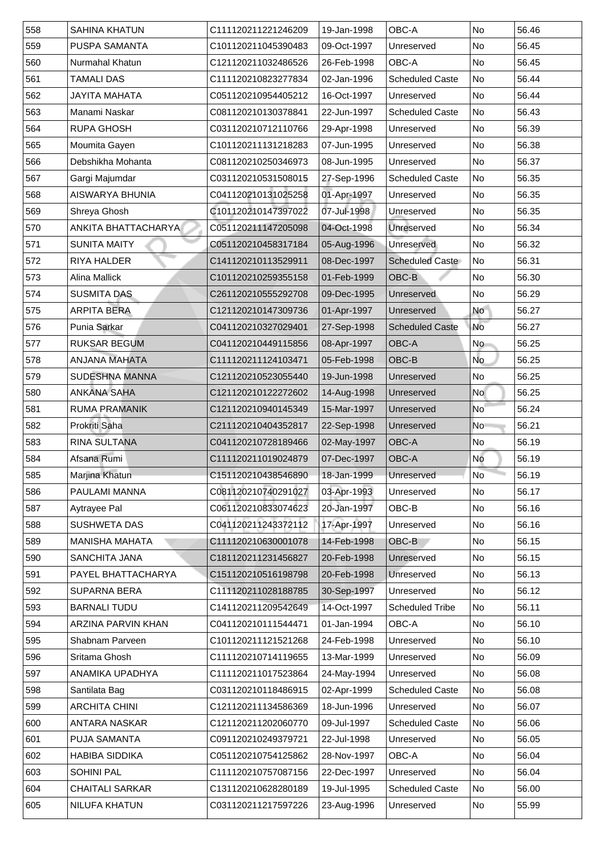| 558 | <b>SAHINA KHATUN</b>      | C111120211221246209 | 19-Jan-1998 | <b>OBC-A</b>           | <b>No</b>                | 56.46 |
|-----|---------------------------|---------------------|-------------|------------------------|--------------------------|-------|
| 559 | <b>PUSPA SAMANTA</b>      | C101120211045390483 | 09-Oct-1997 | Unreserved             | <b>No</b>                | 56.45 |
| 560 | <b>Nurmahal Khatun</b>    | C121120211032486526 | 26-Feb-1998 | <b>OBC-A</b>           | No                       | 56.45 |
| 561 | TAMALI DAS                | C111120210823277834 | 02-Jan-1996 | <b>Scheduled Caste</b> | No                       | 56.44 |
| 562 | <b>JAYITA MAHATA</b>      | C051120210954405212 | 16-Oct-1997 | Unreserved             | No                       | 56.44 |
| 563 | Manami Naskar             | C081120210130378841 | 22-Jun-1997 | <b>Scheduled Caste</b> | No                       | 56.43 |
| 564 | <b>RUPA GHOSH</b>         | C031120210712110766 | 29-Apr-1998 | Unreserved             | No                       | 56.39 |
| 565 | Moumita Gayen             | C101120211131218283 | 07-Jun-1995 | Unreserved             | No                       | 56.38 |
| 566 | Debshikha Mohanta         | C081120210250346973 | 08-Jun-1995 | Unreserved             | No                       | 56.37 |
| 567 | Gargi Majumdar            | C031120210531508015 | 27-Sep-1996 | <b>Scheduled Caste</b> | No                       | 56.35 |
| 568 | <b>AISWARYA BHUNIA</b>    | C041120210131025258 | 01-Apr-1997 | Unreserved             | No                       | 56.35 |
| 569 | <b>Shreya Ghosh</b>       | C101120210147397022 | 07-Jul-1998 | Unreserved             | No                       | 56.35 |
| 570 | ANKITA BHATTACHARYA       | C051120211147205098 | 04-Oct-1998 | Unreserved             | No                       | 56.34 |
| 571 | <b>SUNITA MAITY</b>       | C051120210458317184 | 05-Aug-1996 | Unreserved             | No                       | 56.32 |
| 572 | <b>RIYA HALDER</b>        | C141120210113529911 | 08-Dec-1997 | <b>Scheduled Caste</b> | No                       | 56.31 |
| 573 | <b>Alina Mallick</b>      | C101120210259355158 | 01-Feb-1999 | OBC-B                  | <b>No</b>                | 56.30 |
| 574 | <b>SUSMITA DAS</b>        | C261120210555292708 | 09-Dec-1995 | <b>Unreserved</b>      | No                       | 56.29 |
| 575 | <b>ARPITA BERA</b>        | C121120210147309736 | 01-Apr-1997 | Unreserved             | <b>No</b>                | 56.27 |
| 576 | <b>Punia Sarkar</b>       | C041120210327029401 | 27-Sep-1998 | <b>Scheduled Caste</b> | <b>No</b>                | 56.27 |
| 577 | <b>RUKSAR BEGUM</b>       | C041120210449115856 | 08-Apr-1997 | <b>OBC-A</b>           | No                       | 56.25 |
| 578 | <b>ANJANA MAHATA</b>      | C111120211124103471 | 05-Feb-1998 | OBC-B                  | No                       | 56.25 |
| 579 | SUDESHNA MANNA            | C121120210523055440 | 19-Jun-1998 | Unreserved             | No                       | 56.25 |
| 580 | <b>ANKANA SAHA</b>        | C121120210122272602 | 14-Aug-1998 | Unreserved             | No                       | 56.25 |
| 581 | <b>RUMA PRAMANIK</b>      | C121120210940145349 | 15-Mar-1997 | Unreserved             | $\overline{\mathsf{No}}$ | 56.24 |
| 582 | <b>Prokriti Saha</b>      | C211120210404352817 | 22-Sep-1998 | Unreserved             | No                       | 56.21 |
| 583 | <b>RINA SULTANA</b>       | C041120210728189466 | 02-May-1997 | <b>OBC-A</b>           | No                       | 56.19 |
| 584 | Afsana Rumi               | C111120211019024879 | 07-Dec-1997 | <b>OBC-A</b>           | No                       | 56.19 |
| 585 | Marjina Khatun            | C151120210438546890 | 18-Jan-1999 | Unreserved             | <b>No</b>                | 56.19 |
| 586 | <b>PAULAMI MANNA</b>      | C081120210740291027 | 03-Apr-1993 | Unreserved             | No                       | 56.17 |
| 587 | <b>Aytrayee Pal</b>       | C061120210833074623 | 20-Jan-1997 | OBC-B                  | <b>No</b>                | 56.16 |
| 588 | <b>SUSHWETA DAS</b>       | C041120211243372112 | 17-Apr-1997 | Unreserved             | No                       | 56.16 |
| 589 | <b>MANISHA MAHATA</b>     | C111120210630001078 | 14-Feb-1998 | OBC-B                  | <b>No</b>                | 56.15 |
| 590 | <b>SANCHITA JANA</b>      | C181120211231456827 | 20-Feb-1998 | Unreserved             | <b>No</b>                | 56.15 |
| 591 | PAYEL BHATTACHARYA        | C151120210516198798 | 20-Feb-1998 | Unreserved             | No                       | 56.13 |
| 592 | <b>SUPARNA BERA</b>       | C111120211028188785 | 30-Sep-1997 | Unreserved             | No                       | 56.12 |
| 593 | <b>BARNALI TUDU</b>       | C141120211209542649 | 14-Oct-1997 | <b>Scheduled Tribe</b> | <b>No</b>                | 56.11 |
| 594 | <b>ARZINA PARVIN KHAN</b> | C041120210111544471 | 01-Jan-1994 | <b>OBC-A</b>           | <b>No</b>                | 56.10 |
| 595 | <b>Shabnam Parveen</b>    | C101120211121521268 | 24-Feb-1998 | Unreserved             | No                       | 56.10 |
| 596 | <b>Sritama Ghosh</b>      | C111120210714119655 | 13-Mar-1999 | Unreserved             | No                       | 56.09 |
| 597 | ANAMIKA UPADHYA           | C111120211017523864 | 24-May-1994 | Unreserved             | No                       | 56.08 |
| 598 | Santilata Bag             | C031120210118486915 | 02-Apr-1999 | <b>Scheduled Caste</b> | No                       | 56.08 |
| 599 | <b>ARCHITA CHINI</b>      | C121120211134586369 | 18-Jun-1996 | Unreserved             | No                       | 56.07 |
| 600 | ANTARA NASKAR             | C121120211202060770 | 09-Jul-1997 | <b>Scheduled Caste</b> | No                       | 56.06 |
| 601 | <b>PUJA SAMANTA</b>       | C091120210249379721 | 22-Jul-1998 | Unreserved             | No                       | 56.05 |
| 602 | <b>HABIBA SIDDIKA</b>     | C051120210754125862 | 28-Nov-1997 | <b>OBC-A</b>           | No                       | 56.04 |
| 603 | <b>SOHINI PAL</b>         | C111120210757087156 | 22-Dec-1997 | Unreserved             | No                       | 56.04 |
| 604 | <b>CHAITALI SARKAR</b>    | C131120210628280189 | 19-Jul-1995 | <b>Scheduled Caste</b> | No                       | 56.00 |
| 605 | <b>NILUFA KHATUN</b>      | C031120211217597226 | 23-Aug-1996 | Unreserved             | No                       | 55.99 |